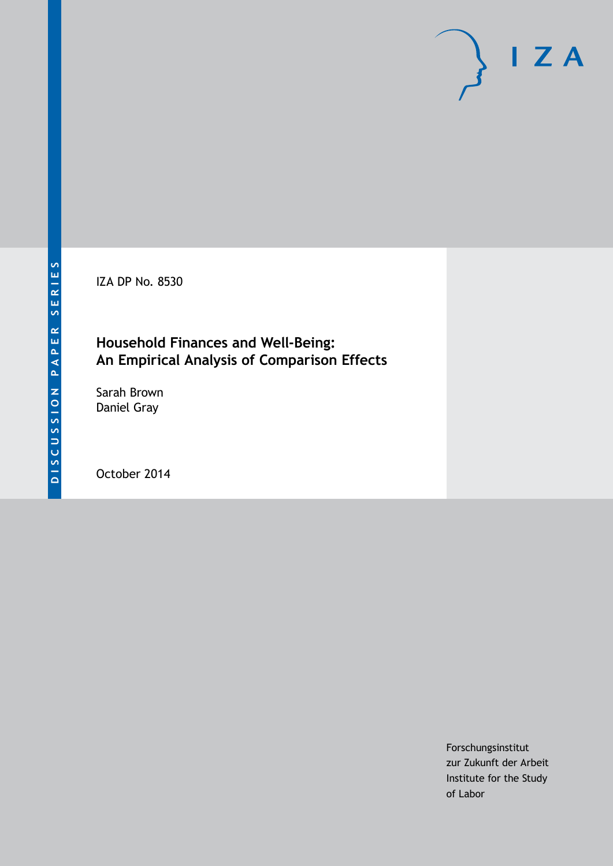IZA DP No. 8530

### **Household Finances and Well-Being: An Empirical Analysis of Comparison Effects**

Sarah Brown Daniel Gray

October 2014

Forschungsinstitut zur Zukunft der Arbeit Institute for the Study of Labor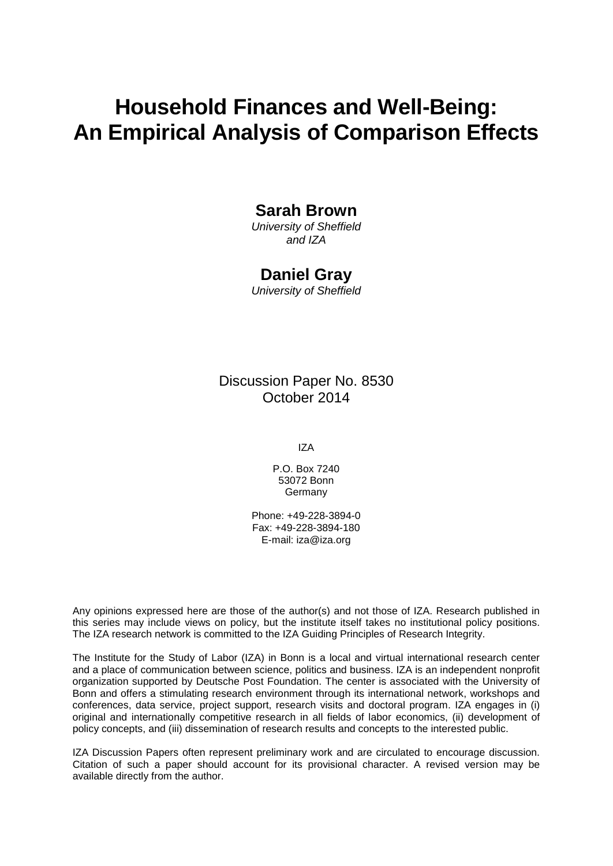# **Household Finances and Well-Being: An Empirical Analysis of Comparison Effects**

### **Sarah Brown**

*University of Sheffield and IZA*

#### **Daniel Gray**

*University of Sheffield*

Discussion Paper No. 8530 October 2014

IZA

P.O. Box 7240 53072 Bonn **Germany** 

Phone: +49-228-3894-0 Fax: +49-228-3894-180 E-mail: [iza@iza.org](mailto:iza@iza.org)

Any opinions expressed here are those of the author(s) and not those of IZA. Research published in this series may include views on policy, but the institute itself takes no institutional policy positions. The IZA research network is committed to the IZA Guiding Principles of Research Integrity.

The Institute for the Study of Labor (IZA) in Bonn is a local and virtual international research center and a place of communication between science, politics and business. IZA is an independent nonprofit organization supported by Deutsche Post Foundation. The center is associated with the University of Bonn and offers a stimulating research environment through its international network, workshops and conferences, data service, project support, research visits and doctoral program. IZA engages in (i) original and internationally competitive research in all fields of labor economics, (ii) development of policy concepts, and (iii) dissemination of research results and concepts to the interested public.

<span id="page-1-0"></span>IZA Discussion Papers often represent preliminary work and are circulated to encourage discussion. Citation of such a paper should account for its provisional character. A revised version may be available directly from the author.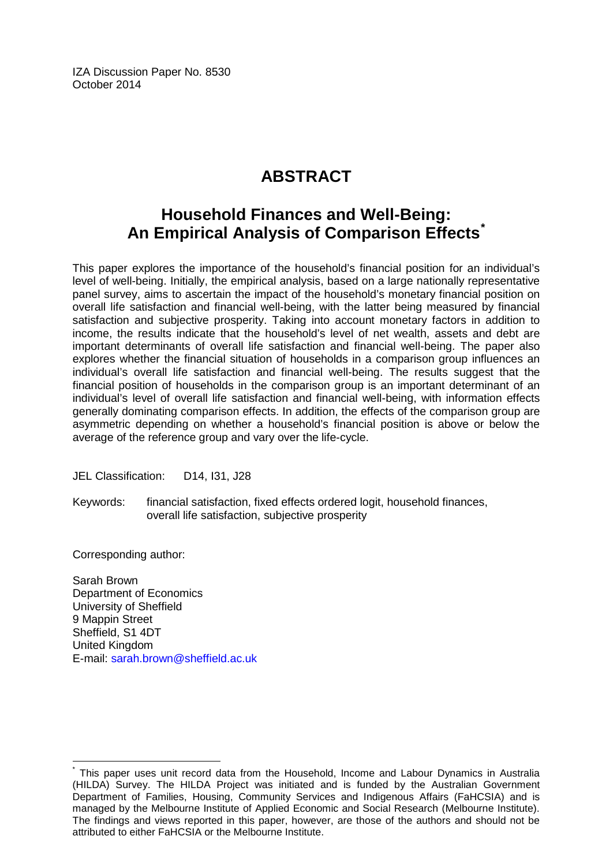IZA Discussion Paper No. 8530 October 2014

# **ABSTRACT**

## **Household Finances and Well-Being: An Empirical Analysis of Comparison Effects[\\*](#page-1-0)**

This paper explores the importance of the household's financial position for an individual's level of well-being. Initially, the empirical analysis, based on a large nationally representative panel survey, aims to ascertain the impact of the household's monetary financial position on overall life satisfaction and financial well-being, with the latter being measured by financial satisfaction and subjective prosperity. Taking into account monetary factors in addition to income, the results indicate that the household's level of net wealth, assets and debt are important determinants of overall life satisfaction and financial well-being. The paper also explores whether the financial situation of households in a comparison group influences an individual's overall life satisfaction and financial well-being. The results suggest that the financial position of households in the comparison group is an important determinant of an individual's level of overall life satisfaction and financial well-being, with information effects generally dominating comparison effects. In addition, the effects of the comparison group are asymmetric depending on whether a household's financial position is above or below the average of the reference group and vary over the life-cycle.

JEL Classification: D14, I31, J28

Keywords: financial satisfaction, fixed effects ordered logit, household finances, overall life satisfaction, subjective prosperity

Corresponding author:

Sarah Brown Department of Economics University of Sheffield 9 Mappin Street Sheffield, S1 4DT United Kingdom E-mail: [sarah.brown@sheffield.ac.uk](mailto:sarah.brown@sheffield.ac.uk)

This paper uses unit record data from the Household, Income and Labour Dynamics in Australia (HILDA) Survey. The HILDA Project was initiated and is funded by the Australian Government Department of Families, Housing, Community Services and Indigenous Affairs (FaHCSIA) and is managed by the Melbourne Institute of Applied Economic and Social Research (Melbourne Institute). The findings and views reported in this paper, however, are those of the authors and should not be attributed to either FaHCSIA or the Melbourne Institute.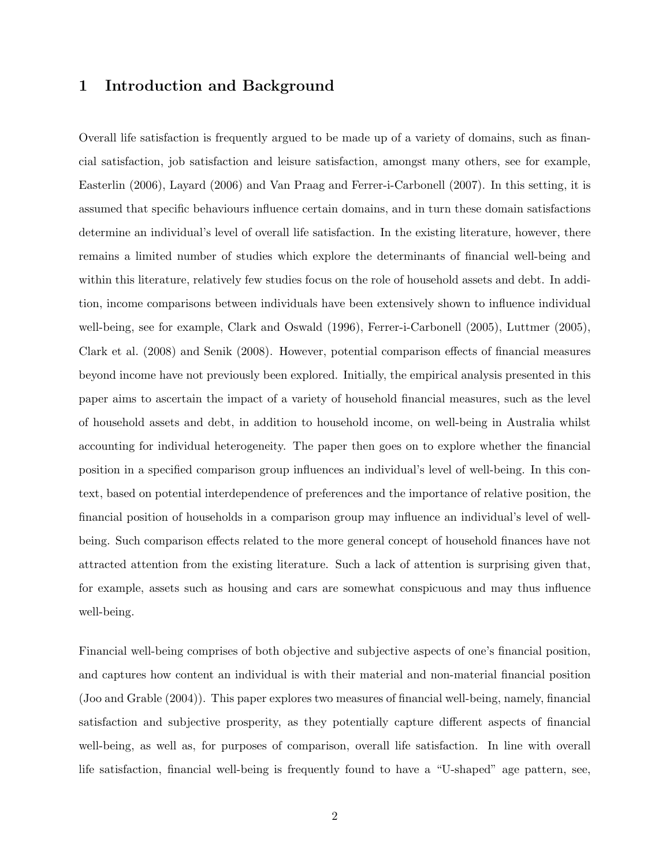#### 1 Introduction and Background

Overall life satisfaction is frequently argued to be made up of a variety of domains, such as financial satisfaction, job satisfaction and leisure satisfaction, amongst many others, see for example, Easterlin (2006), Layard (2006) and Van Praag and Ferrer-i-Carbonell (2007). In this setting, it is assumed that specific behaviours influence certain domains, and in turn these domain satisfactions determine an individual's level of overall life satisfaction. In the existing literature, however, there remains a limited number of studies which explore the determinants of financial well-being and within this literature, relatively few studies focus on the role of household assets and debt. In addition, income comparisons between individuals have been extensively shown to influence individual well-being, see for example, Clark and Oswald (1996), Ferrer-i-Carbonell (2005), Luttmer (2005), Clark et al. (2008) and Senik (2008). However, potential comparison effects of financial measures beyond income have not previously been explored. Initially, the empirical analysis presented in this paper aims to ascertain the impact of a variety of household financial measures, such as the level of household assets and debt, in addition to household income, on well-being in Australia whilst accounting for individual heterogeneity. The paper then goes on to explore whether the financial position in a specified comparison group influences an individual's level of well-being. In this context, based on potential interdependence of preferences and the importance of relative position, the financial position of households in a comparison group may influence an individual's level of wellbeing. Such comparison effects related to the more general concept of household finances have not attracted attention from the existing literature. Such a lack of attention is surprising given that, for example, assets such as housing and cars are somewhat conspicuous and may thus influence well-being.

Financial well-being comprises of both objective and subjective aspects of one's financial position, and captures how content an individual is with their material and non-material financial position (Joo and Grable (2004)). This paper explores two measures of financial well-being, namely, financial satisfaction and subjective prosperity, as they potentially capture different aspects of financial well-being, as well as, for purposes of comparison, overall life satisfaction. In line with overall life satisfaction, financial well-being is frequently found to have a "U-shaped" age pattern, see,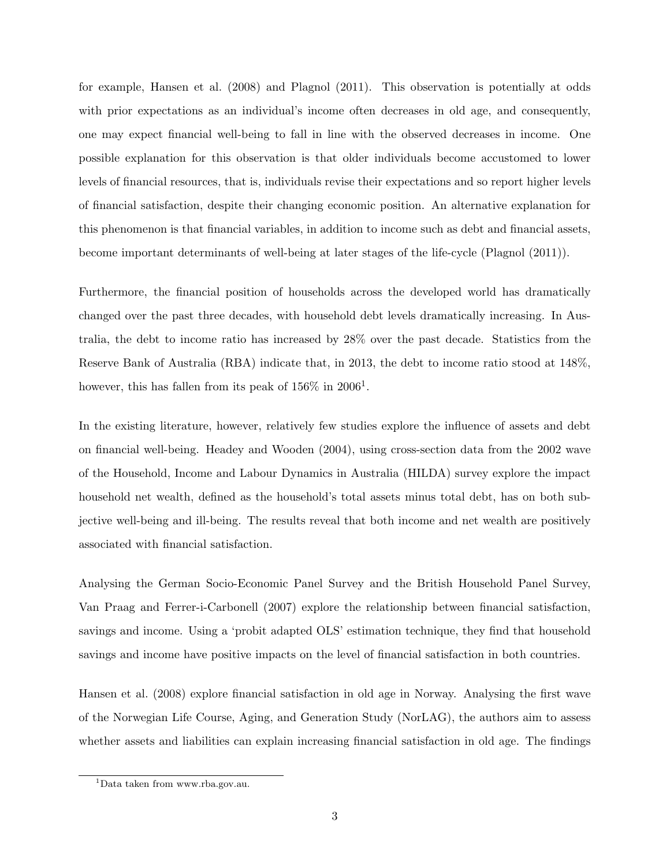for example, Hansen et al. (2008) and Plagnol (2011). This observation is potentially at odds with prior expectations as an individual's income often decreases in old age, and consequently, one may expect financial well-being to fall in line with the observed decreases in income. One possible explanation for this observation is that older individuals become accustomed to lower levels of financial resources, that is, individuals revise their expectations and so report higher levels of financial satisfaction, despite their changing economic position. An alternative explanation for this phenomenon is that financial variables, in addition to income such as debt and financial assets, become important determinants of well-being at later stages of the life-cycle (Plagnol (2011)).

Furthermore, the financial position of households across the developed world has dramatically changed over the past three decades, with household debt levels dramatically increasing. In Australia, the debt to income ratio has increased by 28% over the past decade. Statistics from the Reserve Bank of Australia (RBA) indicate that, in 2013, the debt to income ratio stood at 148%, however, this has fallen from its peak of  $156\%$  in  $2006<sup>1</sup>$ .

In the existing literature, however, relatively few studies explore the influence of assets and debt on financial well-being. Headey and Wooden (2004), using cross-section data from the 2002 wave of the Household, Income and Labour Dynamics in Australia (HILDA) survey explore the impact household net wealth, defined as the household's total assets minus total debt, has on both subjective well-being and ill-being. The results reveal that both income and net wealth are positively associated with financial satisfaction.

Analysing the German Socio-Economic Panel Survey and the British Household Panel Survey, Van Praag and Ferrer-i-Carbonell (2007) explore the relationship between financial satisfaction, savings and income. Using a 'probit adapted OLS' estimation technique, they find that household savings and income have positive impacts on the level of financial satisfaction in both countries.

Hansen et al. (2008) explore financial satisfaction in old age in Norway. Analysing the first wave of the Norwegian Life Course, Aging, and Generation Study (NorLAG), the authors aim to assess whether assets and liabilities can explain increasing financial satisfaction in old age. The findings

<sup>1</sup>Data taken from www.rba.gov.au.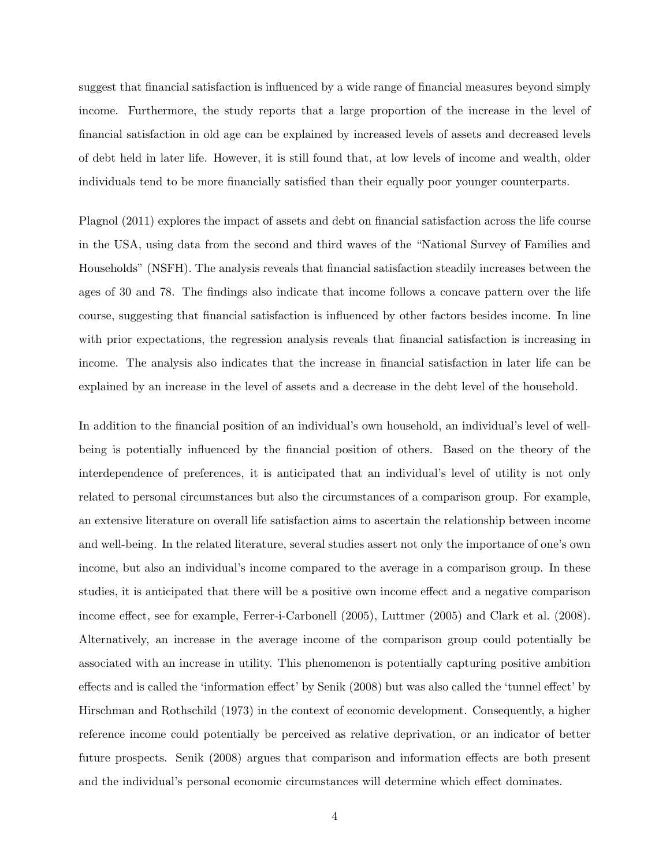suggest that financial satisfaction is influenced by a wide range of financial measures beyond simply income. Furthermore, the study reports that a large proportion of the increase in the level of financial satisfaction in old age can be explained by increased levels of assets and decreased levels of debt held in later life. However, it is still found that, at low levels of income and wealth, older individuals tend to be more financially satisfied than their equally poor younger counterparts.

Plagnol (2011) explores the impact of assets and debt on financial satisfaction across the life course in the USA, using data from the second and third waves of the "National Survey of Families and Households" (NSFH). The analysis reveals that financial satisfaction steadily increases between the ages of 30 and 78. The findings also indicate that income follows a concave pattern over the life course, suggesting that financial satisfaction is influenced by other factors besides income. In line with prior expectations, the regression analysis reveals that financial satisfaction is increasing in income. The analysis also indicates that the increase in financial satisfaction in later life can be explained by an increase in the level of assets and a decrease in the debt level of the household.

In addition to the financial position of an individual's own household, an individual's level of wellbeing is potentially influenced by the financial position of others. Based on the theory of the interdependence of preferences, it is anticipated that an individual's level of utility is not only related to personal circumstances but also the circumstances of a comparison group. For example, an extensive literature on overall life satisfaction aims to ascertain the relationship between income and well-being. In the related literature, several studies assert not only the importance of one's own income, but also an individual's income compared to the average in a comparison group. In these studies, it is anticipated that there will be a positive own income effect and a negative comparison income effect, see for example, Ferrer-i-Carbonell (2005), Luttmer (2005) and Clark et al. (2008). Alternatively, an increase in the average income of the comparison group could potentially be associated with an increase in utility. This phenomenon is potentially capturing positive ambition effects and is called the 'information effect' by Senik (2008) but was also called the 'tunnel effect' by Hirschman and Rothschild (1973) in the context of economic development. Consequently, a higher reference income could potentially be perceived as relative deprivation, or an indicator of better future prospects. Senik (2008) argues that comparison and information effects are both present and the individual's personal economic circumstances will determine which effect dominates.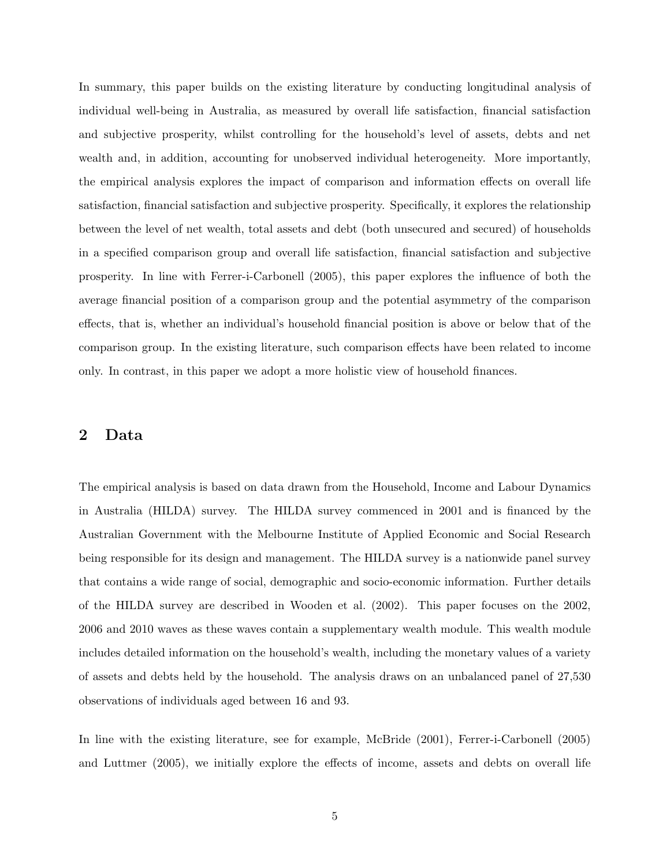In summary, this paper builds on the existing literature by conducting longitudinal analysis of individual well-being in Australia, as measured by overall life satisfaction, financial satisfaction and subjective prosperity, whilst controlling for the household's level of assets, debts and net wealth and, in addition, accounting for unobserved individual heterogeneity. More importantly, the empirical analysis explores the impact of comparison and information effects on overall life satisfaction, financial satisfaction and subjective prosperity. Specifically, it explores the relationship between the level of net wealth, total assets and debt (both unsecured and secured) of households in a specified comparison group and overall life satisfaction, financial satisfaction and subjective prosperity. In line with Ferrer-i-Carbonell (2005), this paper explores the influence of both the average financial position of a comparison group and the potential asymmetry of the comparison effects, that is, whether an individual's household financial position is above or below that of the comparison group. In the existing literature, such comparison effects have been related to income only. In contrast, in this paper we adopt a more holistic view of household finances.

#### 2 Data

The empirical analysis is based on data drawn from the Household, Income and Labour Dynamics in Australia (HILDA) survey. The HILDA survey commenced in 2001 and is financed by the Australian Government with the Melbourne Institute of Applied Economic and Social Research being responsible for its design and management. The HILDA survey is a nationwide panel survey that contains a wide range of social, demographic and socio-economic information. Further details of the HILDA survey are described in Wooden et al. (2002). This paper focuses on the 2002, 2006 and 2010 waves as these waves contain a supplementary wealth module. This wealth module includes detailed information on the household's wealth, including the monetary values of a variety of assets and debts held by the household. The analysis draws on an unbalanced panel of 27,530 observations of individuals aged between 16 and 93.

In line with the existing literature, see for example, McBride (2001), Ferrer-i-Carbonell (2005) and Luttmer (2005), we initially explore the effects of income, assets and debts on overall life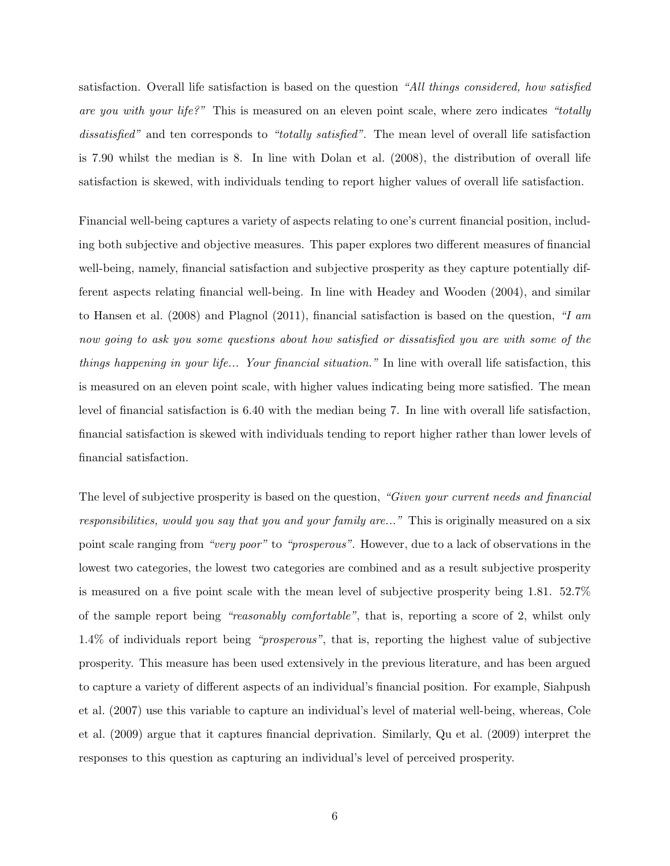satisfaction. Overall life satisfaction is based on the question "All things considered, how satisfied are you with your life?" This is measured on an eleven point scale, where zero indicates "totally dissatisfied" and ten corresponds to "totally satisfied". The mean level of overall life satisfaction is 7.90 whilst the median is 8. In line with Dolan et al. (2008), the distribution of overall life satisfaction is skewed, with individuals tending to report higher values of overall life satisfaction.

Financial well-being captures a variety of aspects relating to one's current financial position, including both subjective and objective measures. This paper explores two different measures of financial well-being, namely, financial satisfaction and subjective prosperity as they capture potentially different aspects relating financial well-being. In line with Headey and Wooden (2004), and similar to Hansen et al. (2008) and Plagnol (2011), financial satisfaction is based on the question, "I am now going to ask you some questions about how satisfied or dissatisfied you are with some of the things happening in your life... Your financial situation." In line with overall life satisfaction, this is measured on an eleven point scale, with higher values indicating being more satisfied. The mean level of financial satisfaction is 6.40 with the median being 7. In line with overall life satisfaction, financial satisfaction is skewed with individuals tending to report higher rather than lower levels of financial satisfaction.

The level of subjective prosperity is based on the question, "Given your current needs and financial responsibilities, would you say that you and your family are..." This is originally measured on a six point scale ranging from "very poor" to "prosperous". However, due to a lack of observations in the lowest two categories, the lowest two categories are combined and as a result subjective prosperity is measured on a five point scale with the mean level of subjective prosperity being 1.81. 52.7% of the sample report being "reasonably comfortable", that is, reporting a score of 2, whilst only 1.4% of individuals report being "prosperous", that is, reporting the highest value of subjective prosperity. This measure has been used extensively in the previous literature, and has been argued to capture a variety of different aspects of an individual's financial position. For example, Siahpush et al. (2007) use this variable to capture an individual's level of material well-being, whereas, Cole et al. (2009) argue that it captures financial deprivation. Similarly, Qu et al. (2009) interpret the responses to this question as capturing an individual's level of perceived prosperity.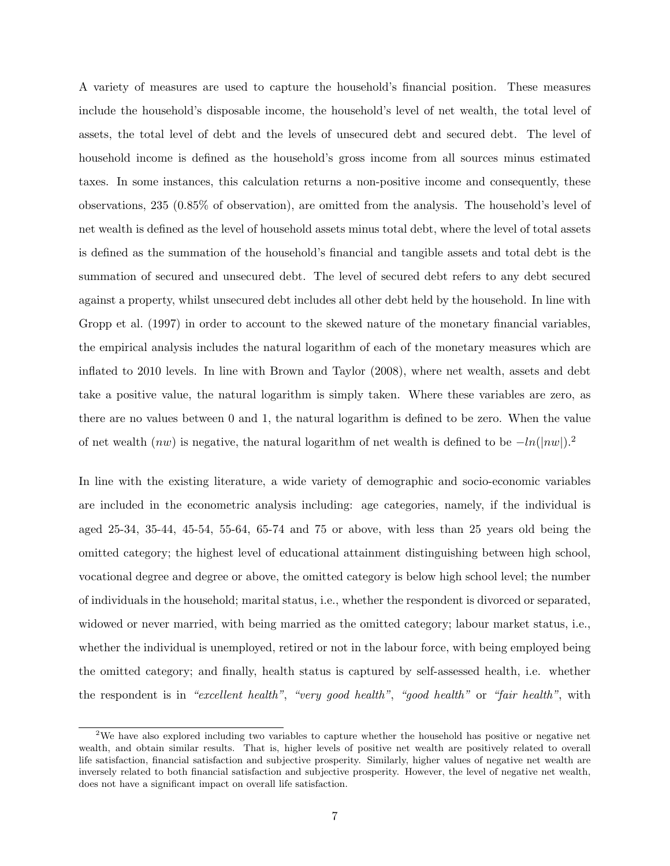A variety of measures are used to capture the household's financial position. These measures include the household's disposable income, the household's level of net wealth, the total level of assets, the total level of debt and the levels of unsecured debt and secured debt. The level of household income is defined as the household's gross income from all sources minus estimated taxes. In some instances, this calculation returns a non-positive income and consequently, these observations, 235 (0.85% of observation), are omitted from the analysis. The household's level of net wealth is defined as the level of household assets minus total debt, where the level of total assets is defined as the summation of the household's financial and tangible assets and total debt is the summation of secured and unsecured debt. The level of secured debt refers to any debt secured against a property, whilst unsecured debt includes all other debt held by the household. In line with Gropp et al. (1997) in order to account to the skewed nature of the monetary financial variables, the empirical analysis includes the natural logarithm of each of the monetary measures which are inflated to 2010 levels. In line with Brown and Taylor (2008), where net wealth, assets and debt take a positive value, the natural logarithm is simply taken. Where these variables are zero, as there are no values between 0 and 1, the natural logarithm is defined to be zero. When the value of net wealth  $(nw)$  is negative, the natural logarithm of net wealth is defined to be  $-ln(|nw|)$ .<sup>2</sup>

In line with the existing literature, a wide variety of demographic and socio-economic variables are included in the econometric analysis including: age categories, namely, if the individual is aged 25-34, 35-44, 45-54, 55-64, 65-74 and 75 or above, with less than 25 years old being the omitted category; the highest level of educational attainment distinguishing between high school, vocational degree and degree or above, the omitted category is below high school level; the number of individuals in the household; marital status, i.e., whether the respondent is divorced or separated, widowed or never married, with being married as the omitted category; labour market status, i.e., whether the individual is unemployed, retired or not in the labour force, with being employed being the omitted category; and finally, health status is captured by self-assessed health, i.e. whether the respondent is in "excellent health", "very good health", "good health" or "fair health", with

<sup>&</sup>lt;sup>2</sup>We have also explored including two variables to capture whether the household has positive or negative net wealth, and obtain similar results. That is, higher levels of positive net wealth are positively related to overall life satisfaction, financial satisfaction and subjective prosperity. Similarly, higher values of negative net wealth are inversely related to both financial satisfaction and subjective prosperity. However, the level of negative net wealth, does not have a significant impact on overall life satisfaction.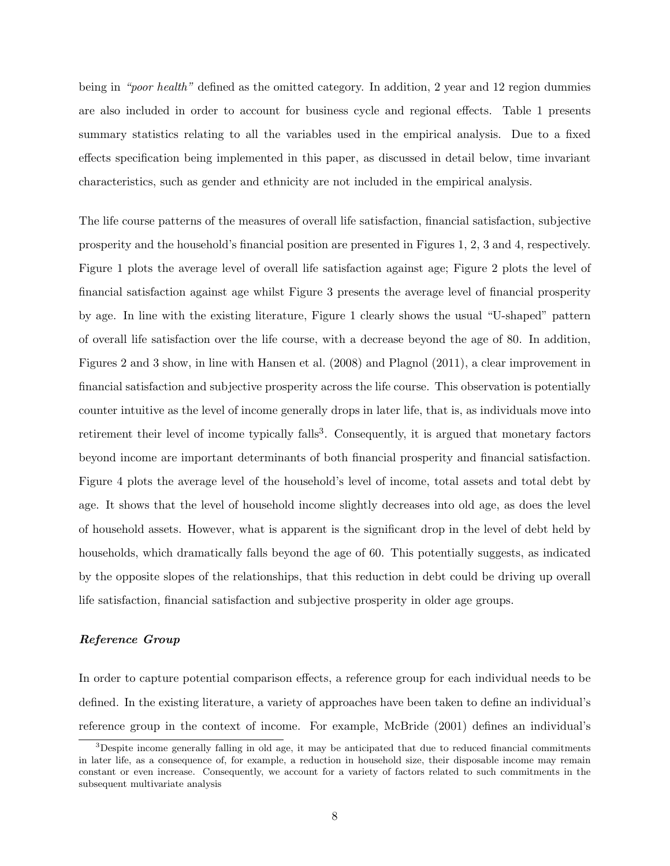being in "poor health" defined as the omitted category. In addition, 2 year and 12 region dummies are also included in order to account for business cycle and regional effects. Table 1 presents summary statistics relating to all the variables used in the empirical analysis. Due to a fixed effects specification being implemented in this paper, as discussed in detail below, time invariant characteristics, such as gender and ethnicity are not included in the empirical analysis.

The life course patterns of the measures of overall life satisfaction, financial satisfaction, subjective prosperity and the household's financial position are presented in Figures 1, 2, 3 and 4, respectively. Figure 1 plots the average level of overall life satisfaction against age; Figure 2 plots the level of financial satisfaction against age whilst Figure 3 presents the average level of financial prosperity by age. In line with the existing literature, Figure 1 clearly shows the usual "U-shaped" pattern of overall life satisfaction over the life course, with a decrease beyond the age of 80. In addition, Figures 2 and 3 show, in line with Hansen et al. (2008) and Plagnol (2011), a clear improvement in financial satisfaction and subjective prosperity across the life course. This observation is potentially counter intuitive as the level of income generally drops in later life, that is, as individuals move into retirement their level of income typically falls<sup>3</sup>. Consequently, it is argued that monetary factors beyond income are important determinants of both financial prosperity and financial satisfaction. Figure 4 plots the average level of the household's level of income, total assets and total debt by age. It shows that the level of household income slightly decreases into old age, as does the level of household assets. However, what is apparent is the significant drop in the level of debt held by households, which dramatically falls beyond the age of 60. This potentially suggests, as indicated by the opposite slopes of the relationships, that this reduction in debt could be driving up overall life satisfaction, financial satisfaction and subjective prosperity in older age groups.

#### Reference Group

In order to capture potential comparison effects, a reference group for each individual needs to be defined. In the existing literature, a variety of approaches have been taken to define an individual's reference group in the context of income. For example, McBride (2001) defines an individual's

<sup>&</sup>lt;sup>3</sup>Despite income generally falling in old age, it may be anticipated that due to reduced financial commitments in later life, as a consequence of, for example, a reduction in household size, their disposable income may remain constant or even increase. Consequently, we account for a variety of factors related to such commitments in the subsequent multivariate analysis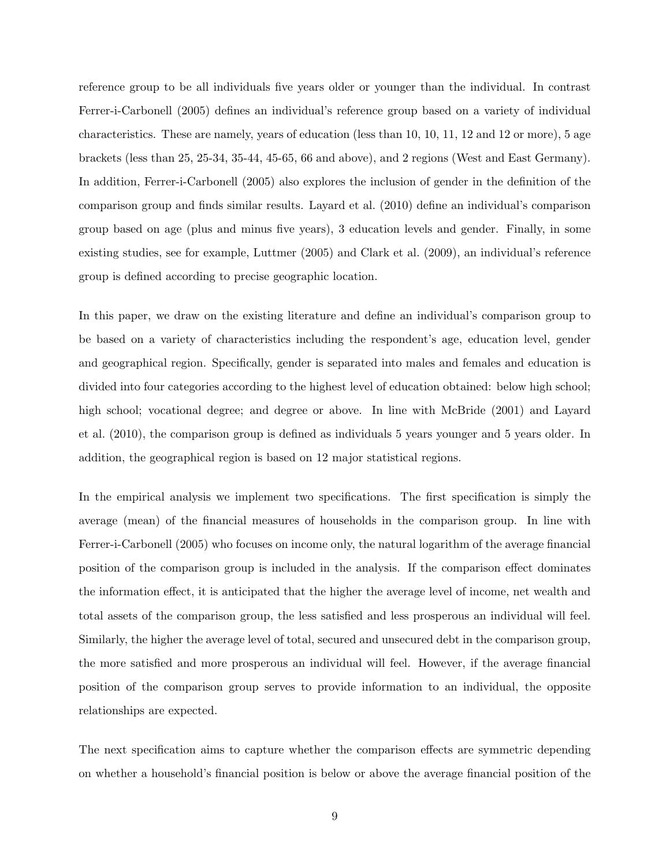reference group to be all individuals five years older or younger than the individual. In contrast Ferrer-i-Carbonell (2005) defines an individual's reference group based on a variety of individual characteristics. These are namely, years of education (less than 10, 10, 11, 12 and 12 or more), 5 age brackets (less than 25, 25-34, 35-44, 45-65, 66 and above), and 2 regions (West and East Germany). In addition, Ferrer-i-Carbonell (2005) also explores the inclusion of gender in the definition of the comparison group and finds similar results. Layard et al. (2010) define an individual's comparison group based on age (plus and minus five years), 3 education levels and gender. Finally, in some existing studies, see for example, Luttmer (2005) and Clark et al. (2009), an individual's reference group is defined according to precise geographic location.

In this paper, we draw on the existing literature and define an individual's comparison group to be based on a variety of characteristics including the respondent's age, education level, gender and geographical region. Specifically, gender is separated into males and females and education is divided into four categories according to the highest level of education obtained: below high school; high school; vocational degree; and degree or above. In line with McBride (2001) and Layard et al. (2010), the comparison group is defined as individuals 5 years younger and 5 years older. In addition, the geographical region is based on 12 major statistical regions.

In the empirical analysis we implement two specifications. The first specification is simply the average (mean) of the financial measures of households in the comparison group. In line with Ferrer-i-Carbonell (2005) who focuses on income only, the natural logarithm of the average financial position of the comparison group is included in the analysis. If the comparison effect dominates the information effect, it is anticipated that the higher the average level of income, net wealth and total assets of the comparison group, the less satisfied and less prosperous an individual will feel. Similarly, the higher the average level of total, secured and unsecured debt in the comparison group, the more satisfied and more prosperous an individual will feel. However, if the average financial position of the comparison group serves to provide information to an individual, the opposite relationships are expected.

The next specification aims to capture whether the comparison effects are symmetric depending on whether a household's financial position is below or above the average financial position of the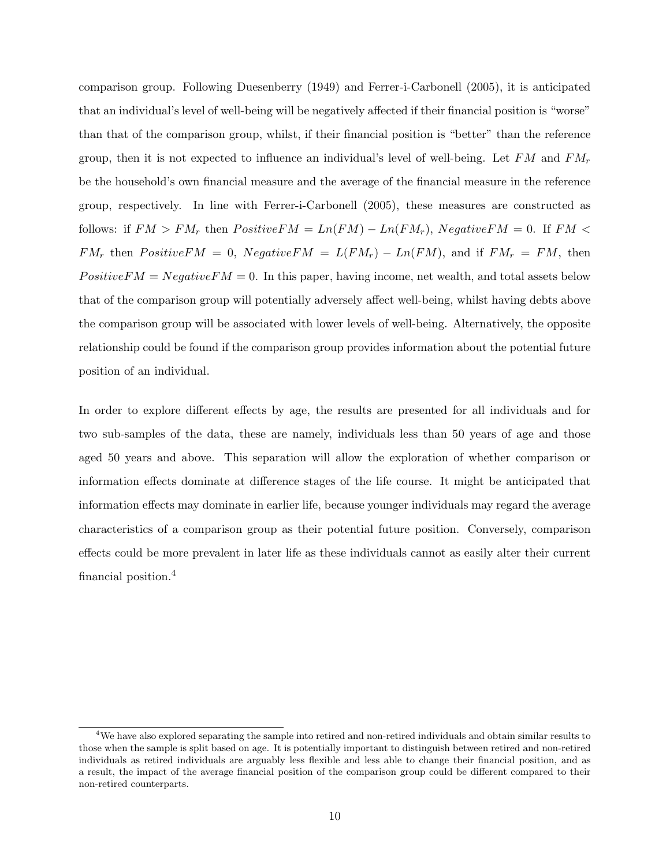comparison group. Following Duesenberry (1949) and Ferrer-i-Carbonell (2005), it is anticipated that an individual's level of well-being will be negatively affected if their financial position is "worse" than that of the comparison group, whilst, if their financial position is "better" than the reference group, then it is not expected to influence an individual's level of well-being. Let FM and  $FM_r$ be the household's own financial measure and the average of the financial measure in the reference group, respectively. In line with Ferrer-i-Carbonell (2005), these measures are constructed as follows: if  $FM > FM_r$  then  $PositiveFM = Ln(FM) - Ln(FM_r)$ ,  $NegativeFM = 0$ . If  $FM <$  $FM_r$  then  $PositiveFM = 0$ ,  $NegativeFM = L(FM_r) - Ln(FM)$ , and if  $FM_r = FM$ , then  $PositiveFM = NegativeFM = 0$ . In this paper, having income, net wealth, and total assets below that of the comparison group will potentially adversely affect well-being, whilst having debts above the comparison group will be associated with lower levels of well-being. Alternatively, the opposite relationship could be found if the comparison group provides information about the potential future position of an individual.

In order to explore different effects by age, the results are presented for all individuals and for two sub-samples of the data, these are namely, individuals less than 50 years of age and those aged 50 years and above. This separation will allow the exploration of whether comparison or information effects dominate at difference stages of the life course. It might be anticipated that information effects may dominate in earlier life, because younger individuals may regard the average characteristics of a comparison group as their potential future position. Conversely, comparison effects could be more prevalent in later life as these individuals cannot as easily alter their current financial position.<sup>4</sup>

<sup>&</sup>lt;sup>4</sup>We have also explored separating the sample into retired and non-retired individuals and obtain similar results to those when the sample is split based on age. It is potentially important to distinguish between retired and non-retired individuals as retired individuals are arguably less flexible and less able to change their financial position, and as a result, the impact of the average financial position of the comparison group could be different compared to their non-retired counterparts.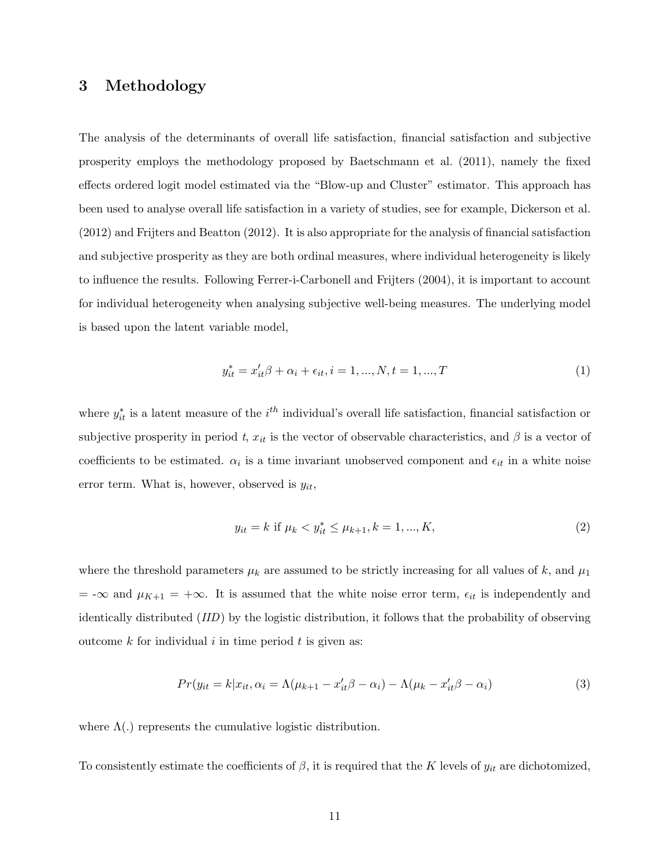#### 3 Methodology

The analysis of the determinants of overall life satisfaction, financial satisfaction and subjective prosperity employs the methodology proposed by Baetschmann et al. (2011), namely the fixed effects ordered logit model estimated via the "Blow-up and Cluster" estimator. This approach has been used to analyse overall life satisfaction in a variety of studies, see for example, Dickerson et al. (2012) and Frijters and Beatton (2012). It is also appropriate for the analysis of financial satisfaction and subjective prosperity as they are both ordinal measures, where individual heterogeneity is likely to influence the results. Following Ferrer-i-Carbonell and Frijters (2004), it is important to account for individual heterogeneity when analysing subjective well-being measures. The underlying model is based upon the latent variable model,

$$
y_{it}^* = x_{it}'\beta + \alpha_i + \epsilon_{it}, i = 1, ..., N, t = 1, ..., T
$$
\n(1)

where  $y_{it}^*$  is a latent measure of the  $i^{th}$  individual's overall life satisfaction, financial satisfaction or subjective prosperity in period t,  $x_{it}$  is the vector of observable characteristics, and  $\beta$  is a vector of coefficients to be estimated.  $\alpha_i$  is a time invariant unobserved component and  $\epsilon_{it}$  in a white noise error term. What is, however, observed is  $y_{it}$ ,

$$
y_{it} = k \text{ if } \mu_k < y_{it}^* \le \mu_{k+1}, k = 1, \dots, K,\tag{2}
$$

where the threshold parameters  $\mu_k$  are assumed to be strictly increasing for all values of k, and  $\mu_1$  $=$  - $\infty$  and  $\mu_{K+1} = +\infty$ . It is assumed that the white noise error term,  $\epsilon_{it}$  is independently and identically distributed (IID) by the logistic distribution, it follows that the probability of observing outcome  $k$  for individual  $i$  in time period  $t$  is given as:

$$
Pr(y_{it} = k|x_{it}, \alpha_i = \Lambda(\mu_{k+1} - x_{it}'\beta - \alpha_i) - \Lambda(\mu_k - x_{it}'\beta - \alpha_i)
$$
\n(3)

where  $\Lambda(.)$  represents the cumulative logistic distribution.

To consistently estimate the coefficients of  $\beta$ , it is required that the K levels of  $y_{it}$  are dichotomized,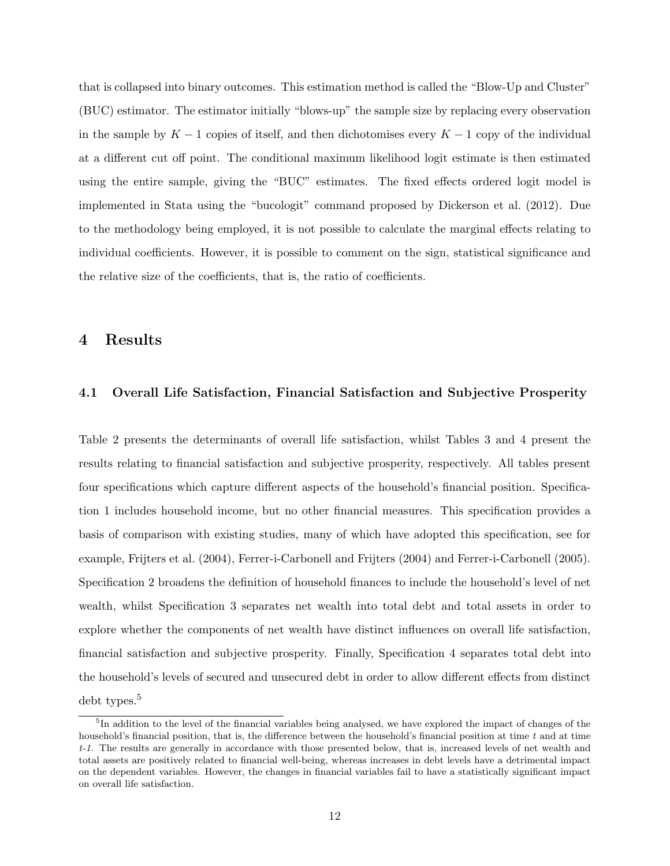that is collapsed into binary outcomes. This estimation method is called the "Blow-Up and Cluster" (BUC) estimator. The estimator initially "blows-up" the sample size by replacing every observation in the sample by  $K - 1$  copies of itself, and then dichotomises every  $K - 1$  copy of the individual at a different cut off point. The conditional maximum likelihood logit estimate is then estimated using the entire sample, giving the "BUC" estimates. The fixed effects ordered logit model is implemented in Stata using the "bucologit" command proposed by Dickerson et al. (2012). Due to the methodology being employed, it is not possible to calculate the marginal effects relating to individual coefficients. However, it is possible to comment on the sign, statistical significance and the relative size of the coefficients, that is, the ratio of coefficients.

#### 4 Results

#### 4.1 Overall Life Satisfaction, Financial Satisfaction and Subjective Prosperity

Table 2 presents the determinants of overall life satisfaction, whilst Tables 3 and 4 present the results relating to financial satisfaction and subjective prosperity, respectively. All tables present four specifications which capture different aspects of the household's financial position. Specification 1 includes household income, but no other financial measures. This specification provides a basis of comparison with existing studies, many of which have adopted this specification, see for example, Frijters et al. (2004), Ferrer-i-Carbonell and Frijters (2004) and Ferrer-i-Carbonell (2005). Specification 2 broadens the definition of household finances to include the household's level of net wealth, whilst Specification 3 separates net wealth into total debt and total assets in order to explore whether the components of net wealth have distinct influences on overall life satisfaction, financial satisfaction and subjective prosperity. Finally, Specification 4 separates total debt into the household's levels of secured and unsecured debt in order to allow different effects from distinct debt types.<sup>5</sup>

<sup>&</sup>lt;sup>5</sup>In addition to the level of the financial variables being analysed, we have explored the impact of changes of the household's financial position, that is, the difference between the household's financial position at time  $t$  and at time t-1. The results are generally in accordance with those presented below, that is, increased levels of net wealth and total assets are positively related to financial well-being, whereas increases in debt levels have a detrimental impact on the dependent variables. However, the changes in financial variables fail to have a statistically significant impact on overall life satisfaction.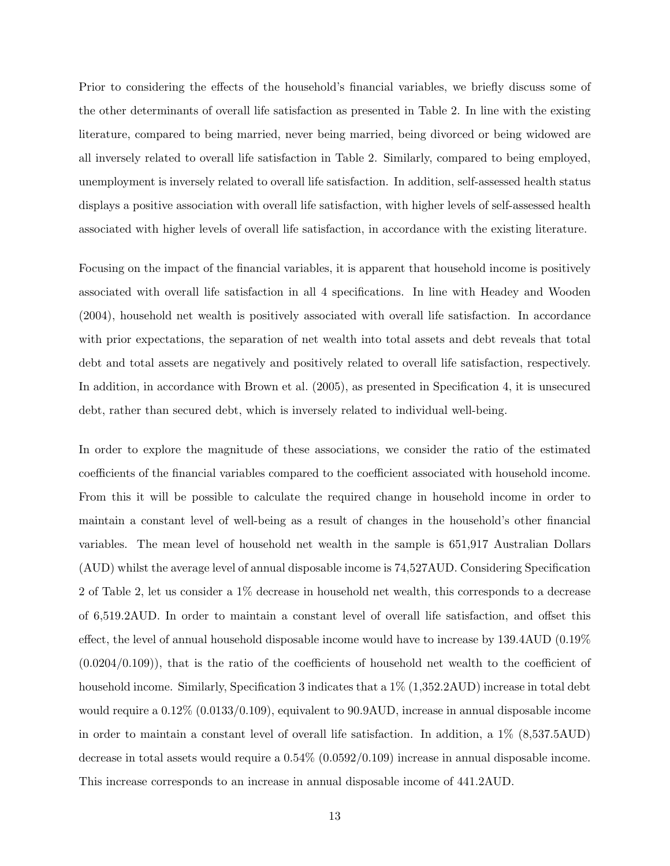Prior to considering the effects of the household's financial variables, we briefly discuss some of the other determinants of overall life satisfaction as presented in Table 2. In line with the existing literature, compared to being married, never being married, being divorced or being widowed are all inversely related to overall life satisfaction in Table 2. Similarly, compared to being employed, unemployment is inversely related to overall life satisfaction. In addition, self-assessed health status displays a positive association with overall life satisfaction, with higher levels of self-assessed health associated with higher levels of overall life satisfaction, in accordance with the existing literature.

Focusing on the impact of the financial variables, it is apparent that household income is positively associated with overall life satisfaction in all 4 specifications. In line with Headey and Wooden (2004), household net wealth is positively associated with overall life satisfaction. In accordance with prior expectations, the separation of net wealth into total assets and debt reveals that total debt and total assets are negatively and positively related to overall life satisfaction, respectively. In addition, in accordance with Brown et al. (2005), as presented in Specification 4, it is unsecured debt, rather than secured debt, which is inversely related to individual well-being.

In order to explore the magnitude of these associations, we consider the ratio of the estimated coefficients of the financial variables compared to the coefficient associated with household income. From this it will be possible to calculate the required change in household income in order to maintain a constant level of well-being as a result of changes in the household's other financial variables. The mean level of household net wealth in the sample is 651,917 Australian Dollars (AUD) whilst the average level of annual disposable income is 74,527AUD. Considering Specification 2 of Table 2, let us consider a 1% decrease in household net wealth, this corresponds to a decrease of 6,519.2AUD. In order to maintain a constant level of overall life satisfaction, and offset this effect, the level of annual household disposable income would have to increase by 139.4AUD (0.19% (0.0204/0.109)), that is the ratio of the coefficients of household net wealth to the coefficient of household income. Similarly, Specification 3 indicates that a  $1\%$  (1,352.2AUD) increase in total debt would require a 0.12% (0.0133/0.109), equivalent to 90.9AUD, increase in annual disposable income in order to maintain a constant level of overall life satisfaction. In addition, a 1% (8,537.5AUD) decrease in total assets would require a 0.54% (0.0592/0.109) increase in annual disposable income. This increase corresponds to an increase in annual disposable income of 441.2AUD.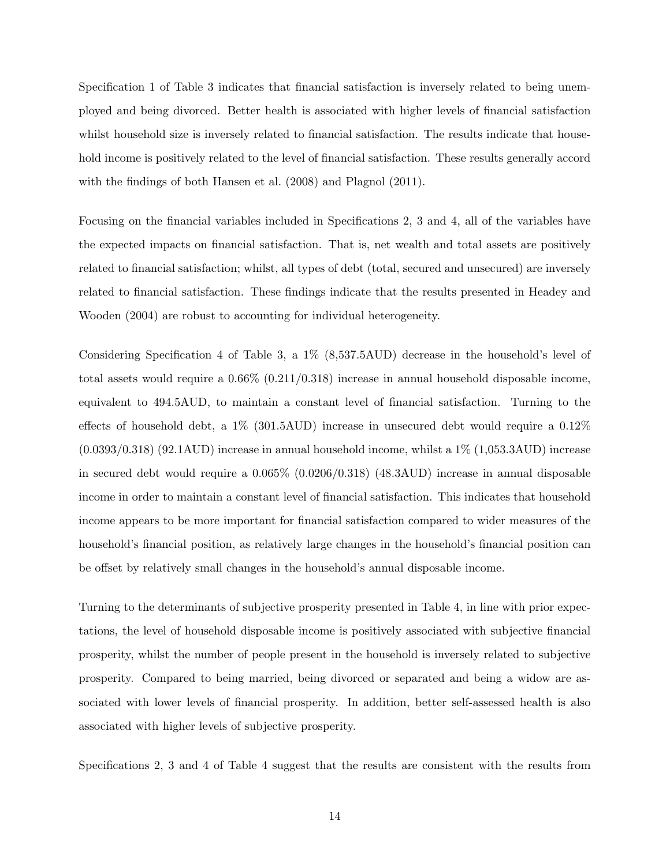Specification 1 of Table 3 indicates that financial satisfaction is inversely related to being unemployed and being divorced. Better health is associated with higher levels of financial satisfaction whilst household size is inversely related to financial satisfaction. The results indicate that household income is positively related to the level of financial satisfaction. These results generally accord with the findings of both Hansen et al. (2008) and Plagnol (2011).

Focusing on the financial variables included in Specifications 2, 3 and 4, all of the variables have the expected impacts on financial satisfaction. That is, net wealth and total assets are positively related to financial satisfaction; whilst, all types of debt (total, secured and unsecured) are inversely related to financial satisfaction. These findings indicate that the results presented in Headey and Wooden (2004) are robust to accounting for individual heterogeneity.

Considering Specification 4 of Table 3, a 1% (8,537.5AUD) decrease in the household's level of total assets would require a 0.66% (0.211/0.318) increase in annual household disposable income, equivalent to 494.5AUD, to maintain a constant level of financial satisfaction. Turning to the effects of household debt, a 1% (301.5AUD) increase in unsecured debt would require a 0.12%  $(0.0393/0.318)$   $(92.1 \text{AUD})$  increase in annual household income, whilst a  $1\%$   $(1.053.3 \text{AUD})$  increase in secured debt would require a 0.065% (0.0206/0.318) (48.3AUD) increase in annual disposable income in order to maintain a constant level of financial satisfaction. This indicates that household income appears to be more important for financial satisfaction compared to wider measures of the household's financial position, as relatively large changes in the household's financial position can be offset by relatively small changes in the household's annual disposable income.

Turning to the determinants of subjective prosperity presented in Table 4, in line with prior expectations, the level of household disposable income is positively associated with subjective financial prosperity, whilst the number of people present in the household is inversely related to subjective prosperity. Compared to being married, being divorced or separated and being a widow are associated with lower levels of financial prosperity. In addition, better self-assessed health is also associated with higher levels of subjective prosperity.

Specifications 2, 3 and 4 of Table 4 suggest that the results are consistent with the results from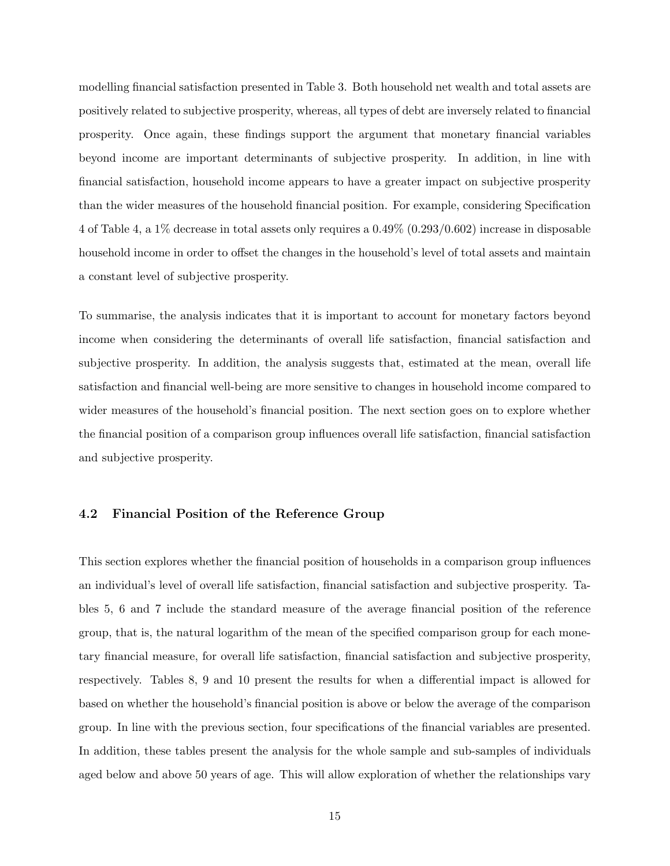modelling financial satisfaction presented in Table 3. Both household net wealth and total assets are positively related to subjective prosperity, whereas, all types of debt are inversely related to financial prosperity. Once again, these findings support the argument that monetary financial variables beyond income are important determinants of subjective prosperity. In addition, in line with financial satisfaction, household income appears to have a greater impact on subjective prosperity than the wider measures of the household financial position. For example, considering Specification 4 of Table 4, a 1% decrease in total assets only requires a 0.49% (0.293/0.602) increase in disposable household income in order to offset the changes in the household's level of total assets and maintain a constant level of subjective prosperity.

To summarise, the analysis indicates that it is important to account for monetary factors beyond income when considering the determinants of overall life satisfaction, financial satisfaction and subjective prosperity. In addition, the analysis suggests that, estimated at the mean, overall life satisfaction and financial well-being are more sensitive to changes in household income compared to wider measures of the household's financial position. The next section goes on to explore whether the financial position of a comparison group influences overall life satisfaction, financial satisfaction and subjective prosperity.

#### 4.2 Financial Position of the Reference Group

This section explores whether the financial position of households in a comparison group influences an individual's level of overall life satisfaction, financial satisfaction and subjective prosperity. Tables 5, 6 and 7 include the standard measure of the average financial position of the reference group, that is, the natural logarithm of the mean of the specified comparison group for each monetary financial measure, for overall life satisfaction, financial satisfaction and subjective prosperity, respectively. Tables 8, 9 and 10 present the results for when a differential impact is allowed for based on whether the household's financial position is above or below the average of the comparison group. In line with the previous section, four specifications of the financial variables are presented. In addition, these tables present the analysis for the whole sample and sub-samples of individuals aged below and above 50 years of age. This will allow exploration of whether the relationships vary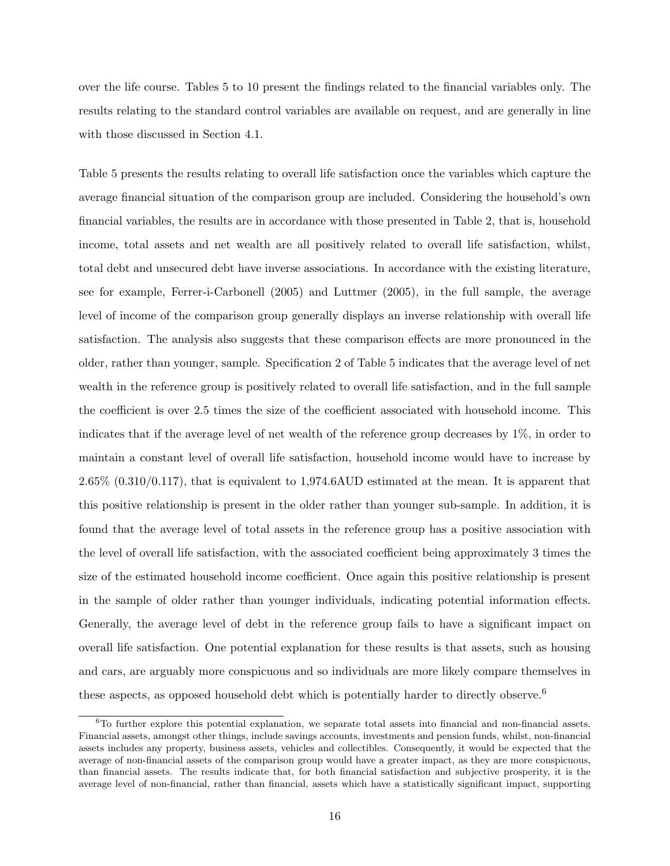over the life course. Tables 5 to 10 present the findings related to the financial variables only. The results relating to the standard control variables are available on request, and are generally in line with those discussed in Section 4.1.

Table 5 presents the results relating to overall life satisfaction once the variables which capture the average financial situation of the comparison group are included. Considering the household's own financial variables, the results are in accordance with those presented in Table 2, that is, household income, total assets and net wealth are all positively related to overall life satisfaction, whilst, total debt and unsecured debt have inverse associations. In accordance with the existing literature, see for example, Ferrer-i-Carbonell (2005) and Luttmer (2005), in the full sample, the average level of income of the comparison group generally displays an inverse relationship with overall life satisfaction. The analysis also suggests that these comparison effects are more pronounced in the older, rather than younger, sample. Specification 2 of Table 5 indicates that the average level of net wealth in the reference group is positively related to overall life satisfaction, and in the full sample the coefficient is over 2.5 times the size of the coefficient associated with household income. This indicates that if the average level of net wealth of the reference group decreases by 1%, in order to maintain a constant level of overall life satisfaction, household income would have to increase by  $2.65\%$   $(0.310/0.117)$ , that is equivalent to 1,974.6AUD estimated at the mean. It is apparent that this positive relationship is present in the older rather than younger sub-sample. In addition, it is found that the average level of total assets in the reference group has a positive association with the level of overall life satisfaction, with the associated coefficient being approximately 3 times the size of the estimated household income coefficient. Once again this positive relationship is present in the sample of older rather than younger individuals, indicating potential information effects. Generally, the average level of debt in the reference group fails to have a significant impact on overall life satisfaction. One potential explanation for these results is that assets, such as housing and cars, are arguably more conspicuous and so individuals are more likely compare themselves in these aspects, as opposed household debt which is potentially harder to directly observe.<sup>6</sup>

 ${}^{6}$ To further explore this potential explanation, we separate total assets into financial and non-financial assets. Financial assets, amongst other things, include savings accounts, investments and pension funds, whilst, non-financial assets includes any property, business assets, vehicles and collectibles. Consequently, it would be expected that the average of non-financial assets of the comparison group would have a greater impact, as they are more conspicuous, than financial assets. The results indicate that, for both financial satisfaction and subjective prosperity, it is the average level of non-financial, rather than financial, assets which have a statistically significant impact, supporting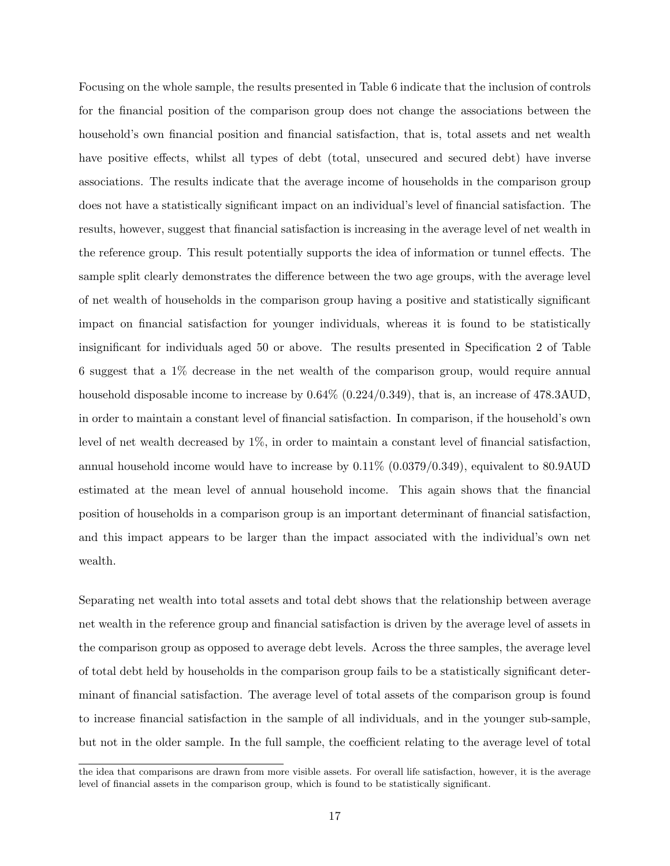Focusing on the whole sample, the results presented in Table 6 indicate that the inclusion of controls for the financial position of the comparison group does not change the associations between the household's own financial position and financial satisfaction, that is, total assets and net wealth have positive effects, whilst all types of debt (total, unsecured and secured debt) have inverse associations. The results indicate that the average income of households in the comparison group does not have a statistically significant impact on an individual's level of financial satisfaction. The results, however, suggest that financial satisfaction is increasing in the average level of net wealth in the reference group. This result potentially supports the idea of information or tunnel effects. The sample split clearly demonstrates the difference between the two age groups, with the average level of net wealth of households in the comparison group having a positive and statistically significant impact on financial satisfaction for younger individuals, whereas it is found to be statistically insignificant for individuals aged 50 or above. The results presented in Specification 2 of Table 6 suggest that a 1% decrease in the net wealth of the comparison group, would require annual household disposable income to increase by  $0.64\%$  (0.224/0.349), that is, an increase of 478.3AUD, in order to maintain a constant level of financial satisfaction. In comparison, if the household's own level of net wealth decreased by 1%, in order to maintain a constant level of financial satisfaction, annual household income would have to increase by 0.11% (0.0379/0.349), equivalent to 80.9AUD estimated at the mean level of annual household income. This again shows that the financial position of households in a comparison group is an important determinant of financial satisfaction, and this impact appears to be larger than the impact associated with the individual's own net wealth.

Separating net wealth into total assets and total debt shows that the relationship between average net wealth in the reference group and financial satisfaction is driven by the average level of assets in the comparison group as opposed to average debt levels. Across the three samples, the average level of total debt held by households in the comparison group fails to be a statistically significant determinant of financial satisfaction. The average level of total assets of the comparison group is found to increase financial satisfaction in the sample of all individuals, and in the younger sub-sample, but not in the older sample. In the full sample, the coefficient relating to the average level of total

the idea that comparisons are drawn from more visible assets. For overall life satisfaction, however, it is the average level of financial assets in the comparison group, which is found to be statistically significant.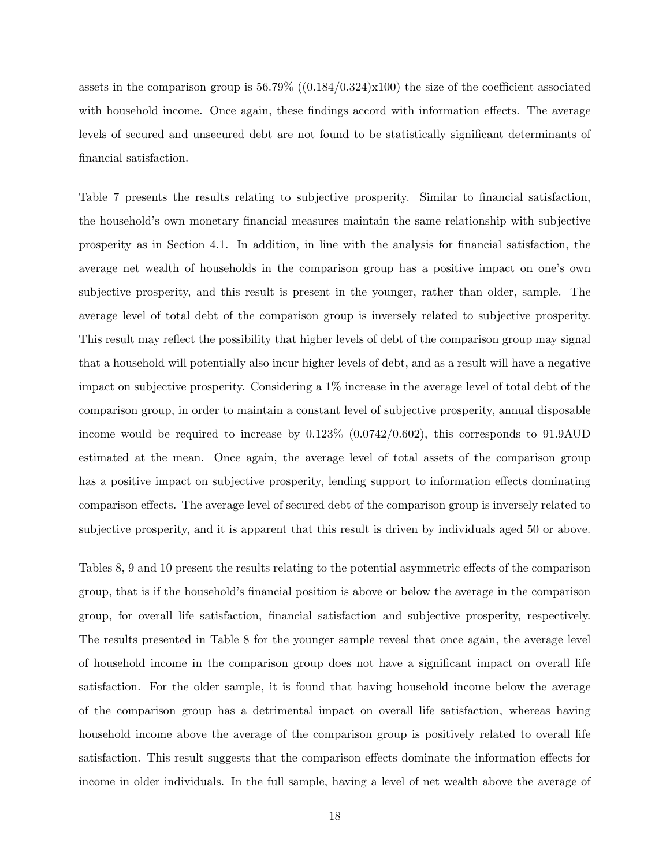assets in the comparison group is  $56.79\%$  ((0.184/0.324)x100) the size of the coefficient associated with household income. Once again, these findings accord with information effects. The average levels of secured and unsecured debt are not found to be statistically significant determinants of financial satisfaction.

Table 7 presents the results relating to subjective prosperity. Similar to financial satisfaction, the household's own monetary financial measures maintain the same relationship with subjective prosperity as in Section 4.1. In addition, in line with the analysis for financial satisfaction, the average net wealth of households in the comparison group has a positive impact on one's own subjective prosperity, and this result is present in the younger, rather than older, sample. The average level of total debt of the comparison group is inversely related to subjective prosperity. This result may reflect the possibility that higher levels of debt of the comparison group may signal that a household will potentially also incur higher levels of debt, and as a result will have a negative impact on subjective prosperity. Considering a 1% increase in the average level of total debt of the comparison group, in order to maintain a constant level of subjective prosperity, annual disposable income would be required to increase by 0.123% (0.0742/0.602), this corresponds to 91.9AUD estimated at the mean. Once again, the average level of total assets of the comparison group has a positive impact on subjective prosperity, lending support to information effects dominating comparison effects. The average level of secured debt of the comparison group is inversely related to subjective prosperity, and it is apparent that this result is driven by individuals aged 50 or above.

Tables 8, 9 and 10 present the results relating to the potential asymmetric effects of the comparison group, that is if the household's financial position is above or below the average in the comparison group, for overall life satisfaction, financial satisfaction and subjective prosperity, respectively. The results presented in Table 8 for the younger sample reveal that once again, the average level of household income in the comparison group does not have a significant impact on overall life satisfaction. For the older sample, it is found that having household income below the average of the comparison group has a detrimental impact on overall life satisfaction, whereas having household income above the average of the comparison group is positively related to overall life satisfaction. This result suggests that the comparison effects dominate the information effects for income in older individuals. In the full sample, having a level of net wealth above the average of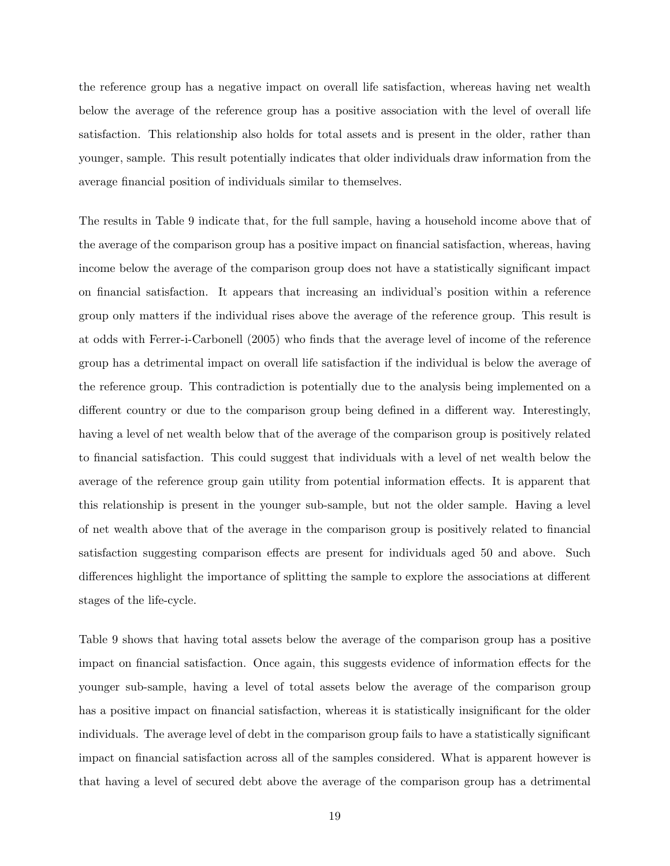the reference group has a negative impact on overall life satisfaction, whereas having net wealth below the average of the reference group has a positive association with the level of overall life satisfaction. This relationship also holds for total assets and is present in the older, rather than younger, sample. This result potentially indicates that older individuals draw information from the average financial position of individuals similar to themselves.

The results in Table 9 indicate that, for the full sample, having a household income above that of the average of the comparison group has a positive impact on financial satisfaction, whereas, having income below the average of the comparison group does not have a statistically significant impact on financial satisfaction. It appears that increasing an individual's position within a reference group only matters if the individual rises above the average of the reference group. This result is at odds with Ferrer-i-Carbonell (2005) who finds that the average level of income of the reference group has a detrimental impact on overall life satisfaction if the individual is below the average of the reference group. This contradiction is potentially due to the analysis being implemented on a different country or due to the comparison group being defined in a different way. Interestingly, having a level of net wealth below that of the average of the comparison group is positively related to financial satisfaction. This could suggest that individuals with a level of net wealth below the average of the reference group gain utility from potential information effects. It is apparent that this relationship is present in the younger sub-sample, but not the older sample. Having a level of net wealth above that of the average in the comparison group is positively related to financial satisfaction suggesting comparison effects are present for individuals aged 50 and above. Such differences highlight the importance of splitting the sample to explore the associations at different stages of the life-cycle.

Table 9 shows that having total assets below the average of the comparison group has a positive impact on financial satisfaction. Once again, this suggests evidence of information effects for the younger sub-sample, having a level of total assets below the average of the comparison group has a positive impact on financial satisfaction, whereas it is statistically insignificant for the older individuals. The average level of debt in the comparison group fails to have a statistically significant impact on financial satisfaction across all of the samples considered. What is apparent however is that having a level of secured debt above the average of the comparison group has a detrimental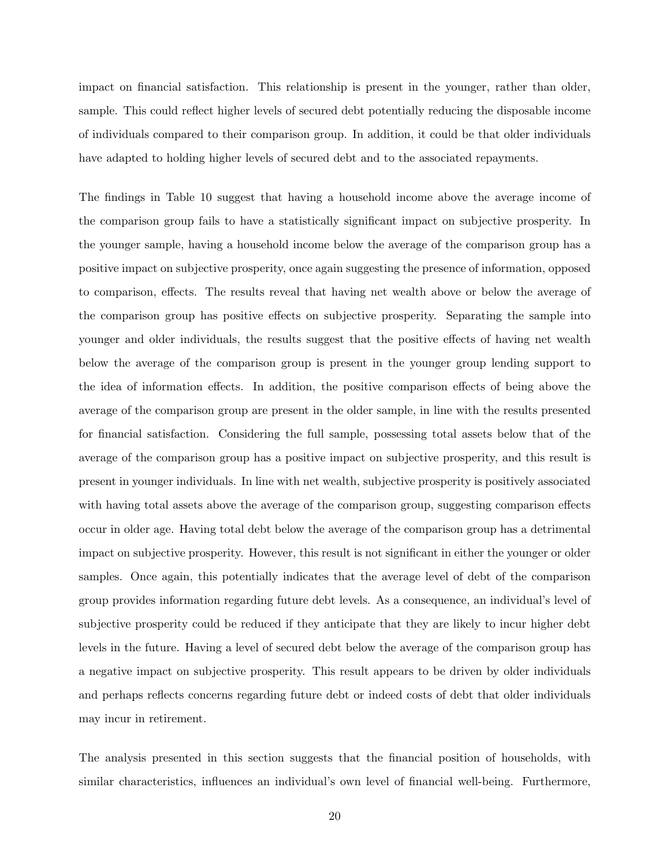impact on financial satisfaction. This relationship is present in the younger, rather than older, sample. This could reflect higher levels of secured debt potentially reducing the disposable income of individuals compared to their comparison group. In addition, it could be that older individuals have adapted to holding higher levels of secured debt and to the associated repayments.

The findings in Table 10 suggest that having a household income above the average income of the comparison group fails to have a statistically significant impact on subjective prosperity. In the younger sample, having a household income below the average of the comparison group has a positive impact on subjective prosperity, once again suggesting the presence of information, opposed to comparison, effects. The results reveal that having net wealth above or below the average of the comparison group has positive effects on subjective prosperity. Separating the sample into younger and older individuals, the results suggest that the positive effects of having net wealth below the average of the comparison group is present in the younger group lending support to the idea of information effects. In addition, the positive comparison effects of being above the average of the comparison group are present in the older sample, in line with the results presented for financial satisfaction. Considering the full sample, possessing total assets below that of the average of the comparison group has a positive impact on subjective prosperity, and this result is present in younger individuals. In line with net wealth, subjective prosperity is positively associated with having total assets above the average of the comparison group, suggesting comparison effects occur in older age. Having total debt below the average of the comparison group has a detrimental impact on subjective prosperity. However, this result is not significant in either the younger or older samples. Once again, this potentially indicates that the average level of debt of the comparison group provides information regarding future debt levels. As a consequence, an individual's level of subjective prosperity could be reduced if they anticipate that they are likely to incur higher debt levels in the future. Having a level of secured debt below the average of the comparison group has a negative impact on subjective prosperity. This result appears to be driven by older individuals and perhaps reflects concerns regarding future debt or indeed costs of debt that older individuals may incur in retirement.

The analysis presented in this section suggests that the financial position of households, with similar characteristics, influences an individual's own level of financial well-being. Furthermore,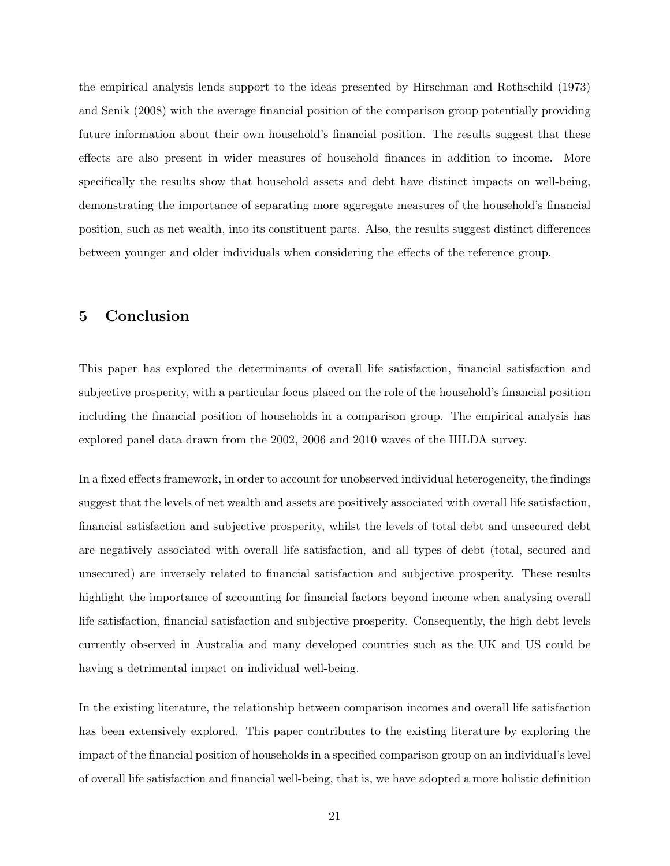the empirical analysis lends support to the ideas presented by Hirschman and Rothschild (1973) and Senik (2008) with the average financial position of the comparison group potentially providing future information about their own household's financial position. The results suggest that these effects are also present in wider measures of household finances in addition to income. More specifically the results show that household assets and debt have distinct impacts on well-being, demonstrating the importance of separating more aggregate measures of the household's financial position, such as net wealth, into its constituent parts. Also, the results suggest distinct differences between younger and older individuals when considering the effects of the reference group.

#### 5 Conclusion

This paper has explored the determinants of overall life satisfaction, financial satisfaction and subjective prosperity, with a particular focus placed on the role of the household's financial position including the financial position of households in a comparison group. The empirical analysis has explored panel data drawn from the 2002, 2006 and 2010 waves of the HILDA survey.

In a fixed effects framework, in order to account for unobserved individual heterogeneity, the findings suggest that the levels of net wealth and assets are positively associated with overall life satisfaction, financial satisfaction and subjective prosperity, whilst the levels of total debt and unsecured debt are negatively associated with overall life satisfaction, and all types of debt (total, secured and unsecured) are inversely related to financial satisfaction and subjective prosperity. These results highlight the importance of accounting for financial factors beyond income when analysing overall life satisfaction, financial satisfaction and subjective prosperity. Consequently, the high debt levels currently observed in Australia and many developed countries such as the UK and US could be having a detrimental impact on individual well-being.

In the existing literature, the relationship between comparison incomes and overall life satisfaction has been extensively explored. This paper contributes to the existing literature by exploring the impact of the financial position of households in a specified comparison group on an individual's level of overall life satisfaction and financial well-being, that is, we have adopted a more holistic definition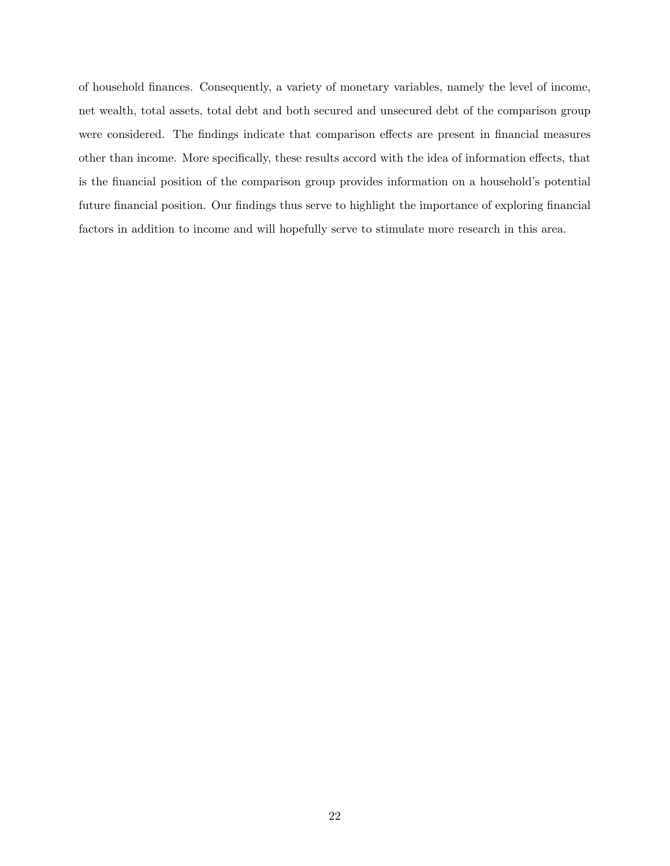of household finances. Consequently, a variety of monetary variables, namely the level of income, net wealth, total assets, total debt and both secured and unsecured debt of the comparison group were considered. The findings indicate that comparison effects are present in financial measures other than income. More specifically, these results accord with the idea of information effects, that is the financial position of the comparison group provides information on a household's potential future financial position. Our findings thus serve to highlight the importance of exploring financial factors in addition to income and will hopefully serve to stimulate more research in this area.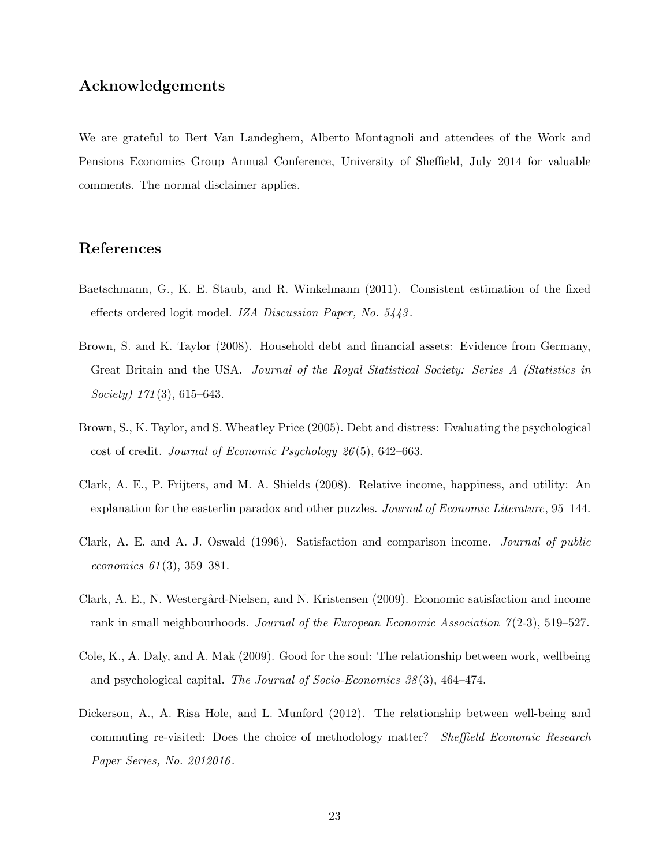#### Acknowledgements

We are grateful to Bert Van Landeghem, Alberto Montagnoli and attendees of the Work and Pensions Economics Group Annual Conference, University of Sheffield, July 2014 for valuable comments. The normal disclaimer applies.

#### References

- Baetschmann, G., K. E. Staub, and R. Winkelmann (2011). Consistent estimation of the fixed effects ordered logit model. IZA Discussion Paper, No. 5443 .
- Brown, S. and K. Taylor (2008). Household debt and financial assets: Evidence from Germany, Great Britain and the USA. Journal of the Royal Statistical Society: Series A (Statistics in Society)  $171(3)$ , 615–643.
- Brown, S., K. Taylor, and S. Wheatley Price (2005). Debt and distress: Evaluating the psychological cost of credit. Journal of Economic Psychology 26 (5), 642–663.
- Clark, A. E., P. Frijters, and M. A. Shields (2008). Relative income, happiness, and utility: An explanation for the easterlin paradox and other puzzles. Journal of Economic Literature, 95–144.
- Clark, A. E. and A. J. Oswald (1996). Satisfaction and comparison income. Journal of public economics 61 (3), 359–381.
- Clark, A. E., N. Westergård-Nielsen, and N. Kristensen (2009). Economic satisfaction and income rank in small neighbourhoods. Journal of the European Economic Association  $\gamma(2-3)$ , 519–527.
- Cole, K., A. Daly, and A. Mak (2009). Good for the soul: The relationship between work, wellbeing and psychological capital. The Journal of Socio-Economics 38 (3), 464–474.
- Dickerson, A., A. Risa Hole, and L. Munford (2012). The relationship between well-being and commuting re-visited: Does the choice of methodology matter? *Sheffield Economic Research* Paper Series, No. 2012016 .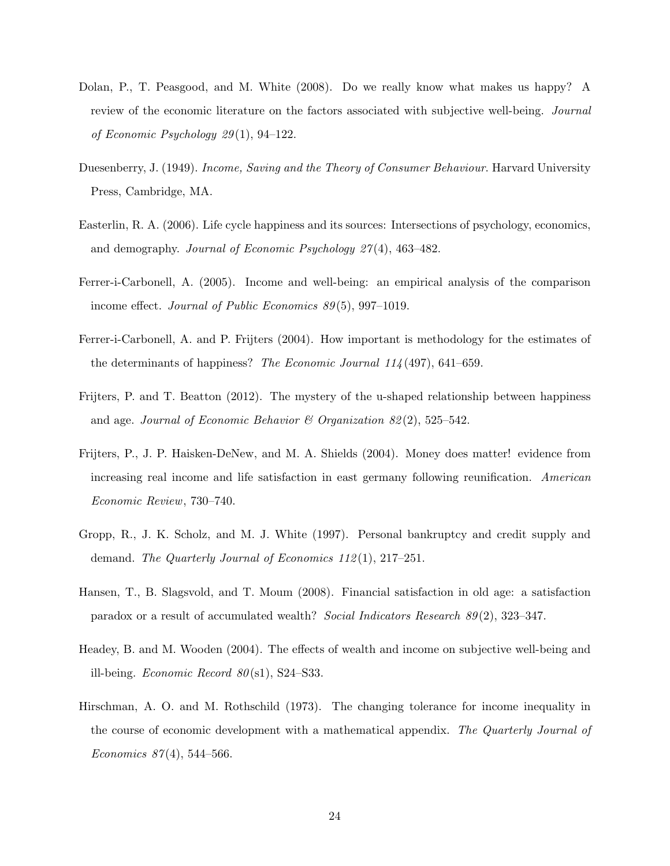- Dolan, P., T. Peasgood, and M. White (2008). Do we really know what makes us happy? A review of the economic literature on the factors associated with subjective well-being. Journal of Economic Psychology 29 (1), 94–122.
- Duesenberry, J. (1949). *Income, Saving and the Theory of Consumer Behaviour*. Harvard University Press, Cambridge, MA.
- Easterlin, R. A. (2006). Life cycle happiness and its sources: Intersections of psychology, economics, and demography. Journal of Economic Psychology 27 (4), 463–482.
- Ferrer-i-Carbonell, A. (2005). Income and well-being: an empirical analysis of the comparison income effect. Journal of Public Economics 89 (5), 997–1019.
- Ferrer-i-Carbonell, A. and P. Frijters (2004). How important is methodology for the estimates of the determinants of happiness? The Economic Journal  $114(497)$ , 641–659.
- Frijters, P. and T. Beatton (2012). The mystery of the u-shaped relationship between happiness and age. Journal of Economic Behavior & Organization  $82(2)$ , 525–542.
- Frijters, P., J. P. Haisken-DeNew, and M. A. Shields (2004). Money does matter! evidence from increasing real income and life satisfaction in east germany following reunification. American Economic Review, 730–740.
- Gropp, R., J. K. Scholz, and M. J. White (1997). Personal bankruptcy and credit supply and demand. The Quarterly Journal of Economics 112(1), 217–251.
- Hansen, T., B. Slagsvold, and T. Moum (2008). Financial satisfaction in old age: a satisfaction paradox or a result of accumulated wealth? Social Indicators Research 89 (2), 323–347.
- Headey, B. and M. Wooden (2004). The effects of wealth and income on subjective well-being and ill-being. Economic Record  $80(s1)$ , S24–S33.
- Hirschman, A. O. and M. Rothschild (1973). The changing tolerance for income inequality in the course of economic development with a mathematical appendix. The Quarterly Journal of Economics  $87(4)$ , 544–566.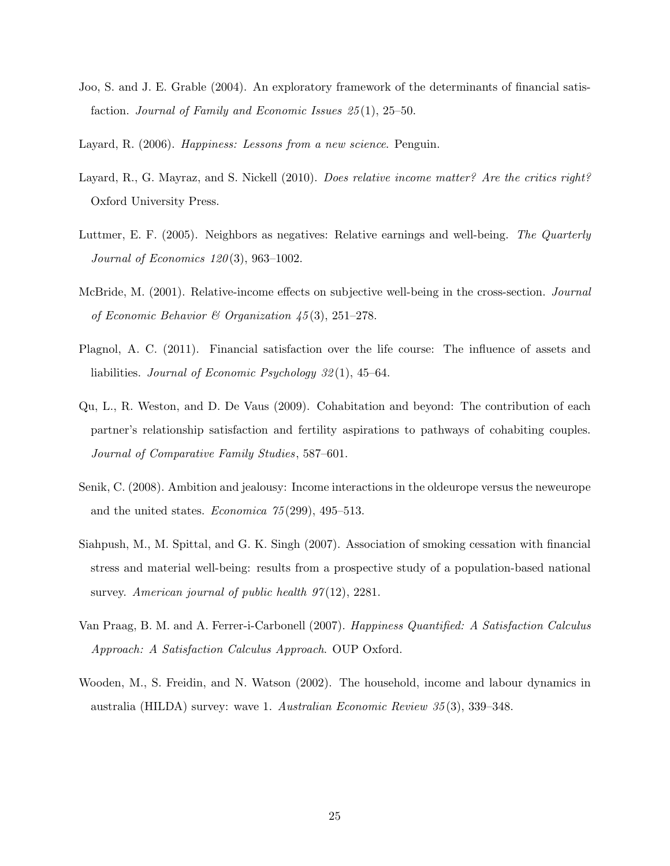- Joo, S. and J. E. Grable (2004). An exploratory framework of the determinants of financial satisfaction. Journal of Family and Economic Issues 25(1), 25–50.
- Layard, R. (2006). *Happiness: Lessons from a new science*. Penguin.
- Layard, R., G. Mayraz, and S. Nickell (2010). Does relative income matter? Are the critics right? Oxford University Press.
- Luttmer, E. F. (2005). Neighbors as negatives: Relative earnings and well-being. The Quarterly Journal of Economics 120 (3), 963–1002.
- McBride, M. (2001). Relative-income effects on subjective well-being in the cross-section. Journal of Economic Behavior & Organization  $\ddot{45}(3)$ , 251–278.
- Plagnol, A. C. (2011). Financial satisfaction over the life course: The influence of assets and liabilities. Journal of Economic Psychology 32 (1), 45–64.
- Qu, L., R. Weston, and D. De Vaus (2009). Cohabitation and beyond: The contribution of each partner's relationship satisfaction and fertility aspirations to pathways of cohabiting couples. Journal of Comparative Family Studies, 587–601.
- Senik, C. (2008). Ambition and jealousy: Income interactions in the oldeurope versus the neweurope and the united states. Economica  $75(299)$ , 495-513.
- Siahpush, M., M. Spittal, and G. K. Singh (2007). Association of smoking cessation with financial stress and material well-being: results from a prospective study of a population-based national survey. American journal of public health  $97(12)$ ,  $2281$ .
- Van Praag, B. M. and A. Ferrer-i-Carbonell (2007). Happiness Quantified: A Satisfaction Calculus Approach: A Satisfaction Calculus Approach. OUP Oxford.
- Wooden, M., S. Freidin, and N. Watson (2002). The household, income and labour dynamics in australia (HILDA) survey: wave 1. Australian Economic Review 35 (3), 339–348.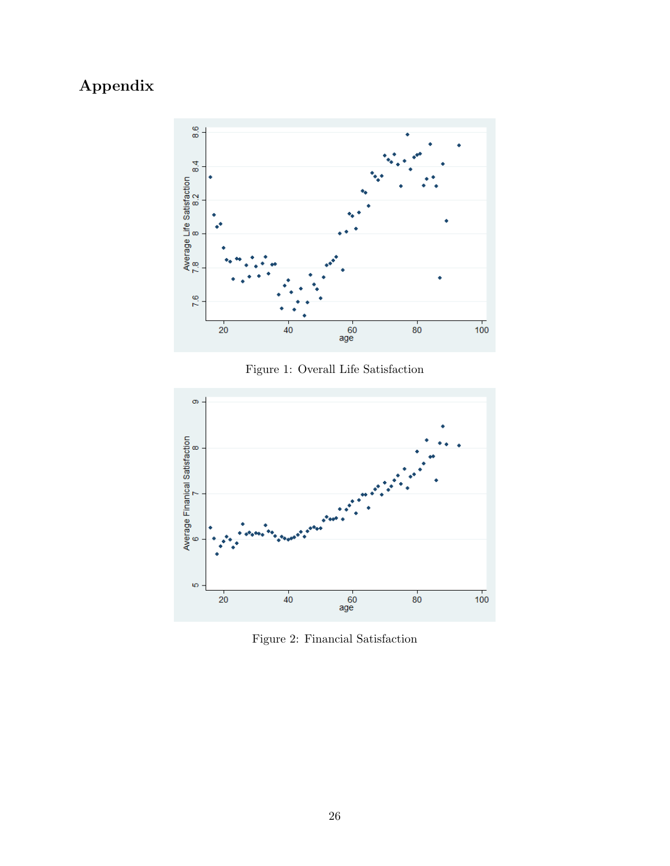# Appendix



Figure 1: Overall Life Satisfaction



Figure 2: Financial Satisfaction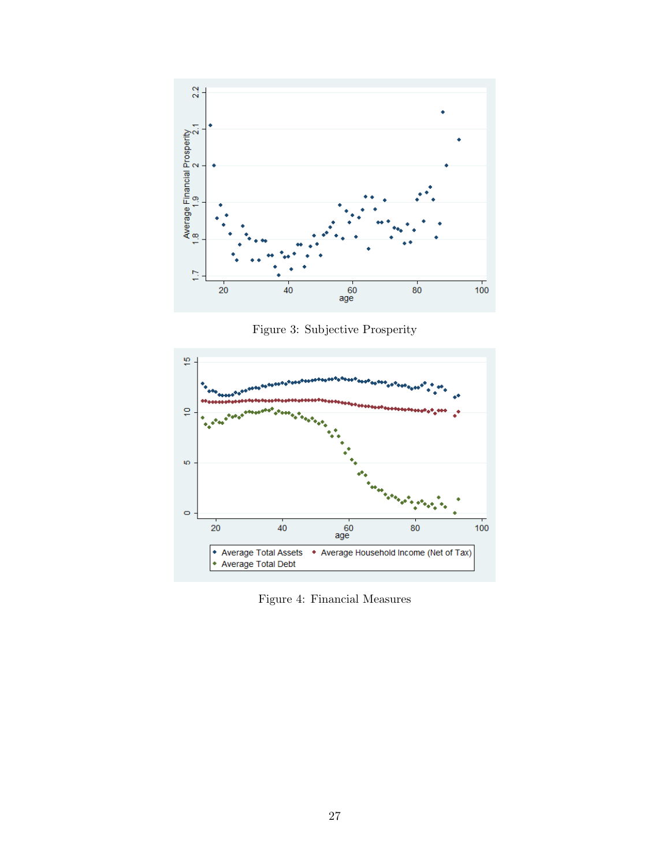

Figure 3: Subjective Prosperity



Figure 4: Financial Measures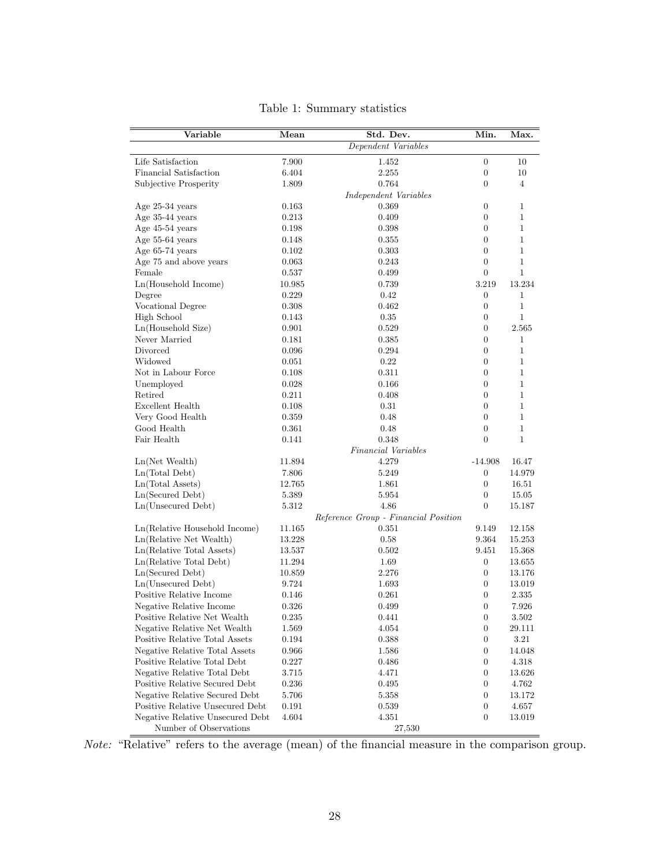| Variable                         | Mean   | Std. Dev.                            | Min.             | Max.           |
|----------------------------------|--------|--------------------------------------|------------------|----------------|
|                                  |        | Dependent Variables                  |                  |                |
| Life Satisfaction                | 7.900  | 1.452                                | $\boldsymbol{0}$ | 10             |
| Financial Satisfaction           | 6.404  | 2.255                                | $\boldsymbol{0}$ | 10             |
| Subjective Prosperity            | 1.809  | 0.764                                | $\boldsymbol{0}$ | $\overline{4}$ |
|                                  |        | Independent Variables                |                  |                |
| Age 25-34 years                  | 0.163  | 0.369                                | $\boldsymbol{0}$ | 1              |
| Age 35-44 years                  | 0.213  | 0.409                                | $\boldsymbol{0}$ | 1              |
| Age 45-54 years                  | 0.198  | 0.398                                | $\boldsymbol{0}$ | 1              |
| Age 55-64 years                  | 0.148  | 0.355                                | $\boldsymbol{0}$ | $\mathbf{1}$   |
| Age 65-74 years                  | 0.102  | 0.303                                | $\boldsymbol{0}$ | $\mathbf{1}$   |
| Age 75 and above years           | 0.063  | 0.243                                | $\boldsymbol{0}$ | $\mathbf{1}$   |
| Female                           | 0.537  | 0.499                                | $\boldsymbol{0}$ | $\mathbf{1}$   |
| Ln(Household Income)             | 10.985 | 0.739                                | 3.219            | 13.234         |
| Degree                           | 0.229  | 0.42                                 | $\boldsymbol{0}$ | $\mathbf{1}$   |
| Vocational Degree                | 0.308  | 0.462                                | $\boldsymbol{0}$ | $\mathbf{1}$   |
| <b>High School</b>               | 0.143  | 0.35                                 | $\boldsymbol{0}$ | $\mathbf{1}$   |
| Ln(Household Size)               | 0.901  | 0.529                                | $\boldsymbol{0}$ | 2.565          |
| Never Married                    | 0.181  | 0.385                                | $\boldsymbol{0}$ | 1              |
| Divorced                         | 0.096  | 0.294                                | $\boldsymbol{0}$ | $\mathbf{1}$   |
| Widowed                          | 0.051  | 0.22                                 | $\boldsymbol{0}$ | 1              |
| Not in Labour Force              | 0.108  | 0.311                                | $\boldsymbol{0}$ | $\mathbf{1}$   |
| Unemployed                       | 0.028  | 0.166                                | $\boldsymbol{0}$ | $\mathbf{1}$   |
| Retired                          | 0.211  | 0.408                                | $\boldsymbol{0}$ | $\mathbf{1}$   |
| Excellent Health                 | 0.108  | 0.31                                 | $\boldsymbol{0}$ | $\mathbf{1}$   |
| Very Good Health                 | 0.359  | 0.48                                 | $\boldsymbol{0}$ | $\mathbf{1}$   |
| Good Health                      | 0.361  | 0.48                                 | $\boldsymbol{0}$ | $\mathbf{1}$   |
| Fair Health                      | 0.141  | 0.348                                | $\theta$         | $\mathbf{1}$   |
|                                  |        | Financial Variables                  |                  |                |
| $Ln(Net$ Wealth)                 | 11.894 | 4.279                                | $-14.908$        | 16.47          |
| Ln(Total Debt)                   | 7.806  | 5.249                                | $\boldsymbol{0}$ | 14.979         |
| Ln(Total Assets)                 | 12.765 | 1.861                                | $\boldsymbol{0}$ | 16.51          |
| Ln(Secured Debt)                 | 5.389  | 5.954                                | $\boldsymbol{0}$ | 15.05          |
| Ln(Unsecured Debt)               | 5.312  | 4.86                                 | $\boldsymbol{0}$ | 15.187         |
|                                  |        | Reference Group - Financial Position |                  |                |
| Ln(Relative Household Income)    | 11.165 | 0.351                                | 9.149            | 12.158         |
| Ln(Relative Net Wealth)          | 13.228 | 0.58                                 | 9.364            | 15.253         |
| Ln(Relative Total Assets)        | 13.537 | 0.502                                | 9.451            | 15.368         |
| Ln(Relative Total Debt)          | 11.294 | 1.69                                 | $\boldsymbol{0}$ | 13.655         |
| Ln(Secured Debt)                 | 10.859 | 2.276                                | $\boldsymbol{0}$ | 13.176         |
| Ln(Unsecured Debt)               | 9.724  | 1.693                                | $\boldsymbol{0}$ | 13.019         |
| Positive Relative Income         | 0.146  | 0.261                                | $\boldsymbol{0}$ | 2.335          |
| Negative Relative Income         | 0.326  | 0.499                                | $\boldsymbol{0}$ | 7.926          |
| Positive Relative Net Wealth     | 0.235  | 0.441                                | $\boldsymbol{0}$ | 3.502          |
| Negative Relative Net Wealth     | 1.569  | 4.054                                | $\boldsymbol{0}$ | 29.111         |
| Positive Relative Total Assets   | 0.194  | 0.388                                | $\boldsymbol{0}$ | $3.21\,$       |
| Negative Relative Total Assets   | 0.966  | 1.586                                | $\boldsymbol{0}$ | 14.048         |
| Positive Relative Total Debt     | 0.227  | 0.486                                | $\boldsymbol{0}$ | 4.318          |
| Negative Relative Total Debt     | 3.715  | 4.471                                | $\boldsymbol{0}$ | 13.626         |
| Positive Relative Secured Debt   | 0.236  | 0.495                                | $\boldsymbol{0}$ | 4.762          |
| Negative Relative Secured Debt   | 5.706  | 5.358                                | $\boldsymbol{0}$ | 13.172         |
| Positive Relative Unsecured Debt | 0.191  | 0.539                                | 0                | 4.657          |
| Negative Relative Unsecured Debt | 4.604  | 4.351                                | $\boldsymbol{0}$ | 13.019         |
| Number of Observations           |        | 27,530                               |                  |                |

Table 1: Summary statistics

Note: "Relative" refers to the average (mean) of the financial measure in the comparison group.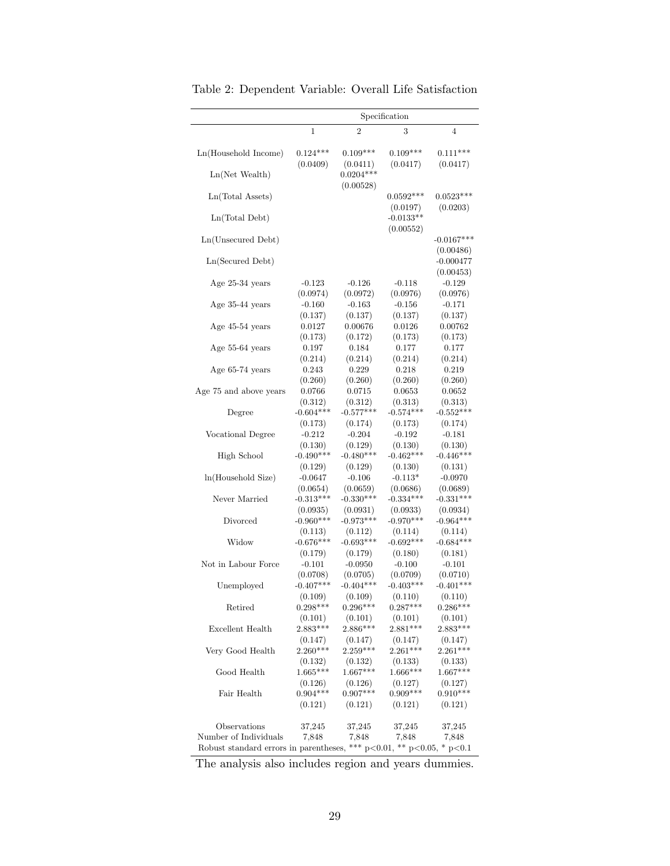|                                                                                                        |                         |                         | Specification           |                                       |
|--------------------------------------------------------------------------------------------------------|-------------------------|-------------------------|-------------------------|---------------------------------------|
|                                                                                                        | 1                       | $\overline{2}$          | 3                       | $\overline{4}$                        |
| Ln(Household Income)                                                                                   | $0.124***$              | $0.109***$              | $0.109***$              | $0.111***$                            |
| $Ln(Net$ Wealth)                                                                                       | (0.0409)                | (0.0411)<br>$0.0204***$ | (0.0417)                | (0.0417)                              |
| Ln(Total Assets)                                                                                       |                         | (0.00528)               | $0.0592***$             | $0.0523***$                           |
| Ln(Total Debt)                                                                                         |                         |                         | (0.0197)<br>$-0.0133**$ | (0.0203)                              |
| Ln(Unsecured Debt)                                                                                     |                         |                         | (0.00552)               | $-0.0167***$                          |
| Ln(Secured Debt)                                                                                       |                         |                         |                         | (0.00486)<br>$-0.000477$<br>(0.00453) |
| Age $25-34$ years                                                                                      | $-0.123$                | $-0.126$                | $-0.118$                | $-0.129$                              |
|                                                                                                        | (0.0974)                | (0.0972)                | (0.0976)                | (0.0976)                              |
| Age 35-44 years                                                                                        | $-0.160$                | $-0.163$                | $-0.156$                | $-0.171$                              |
|                                                                                                        | (0.137)                 | (0.137)                 | (0.137)                 | (0.137)                               |
| Age $45-54$ years                                                                                      | 0.0127                  | 0.00676                 | 0.0126                  | 0.00762                               |
|                                                                                                        | (0.173)                 | (0.172)                 | (0.173)                 | (0.173)                               |
| Age 55-64 years                                                                                        | 0.197                   | 0.184                   | 0.177                   | 0.177                                 |
|                                                                                                        | (0.214)                 | (0.214)                 | (0.214)                 | (0.214)                               |
| Age 65-74 years                                                                                        | 0.243                   | 0.229                   | 0.218                   | 0.219                                 |
|                                                                                                        | (0.260)                 | (0.260)                 | (0.260)                 | (0.260)                               |
| Age 75 and above years                                                                                 | 0.0766                  | 0.0715                  | 0.0653                  | 0.0652                                |
|                                                                                                        | (0.312)                 | (0.312)                 | (0.313)                 | (0.313)                               |
| Degree                                                                                                 | $-0.604***$             | $-0.577***$             | $-0.574***$             | $-0.552***$                           |
|                                                                                                        | (0.173)                 | (0.174)                 | (0.173)                 | (0.174)                               |
| Vocational Degree                                                                                      | $-0.212$                | $-0.204$                | $-0.192$                | $-0.181$                              |
|                                                                                                        | (0.130)                 | (0.129)                 | (0.130)                 | (0.130)                               |
| <b>High School</b>                                                                                     | $-0.490***$             | $-0.480***$             | $-0.462***$             | $-0.446***$                           |
|                                                                                                        | (0.129)                 | (0.129)                 | (0.130)                 | (0.131)                               |
| ln(Household Size)                                                                                     | $-0.0647$               | $-0.106$                | $-0.113*$               | $-0.0970$                             |
|                                                                                                        | (0.0654)                | (0.0659)                | (0.0686)                | (0.0689)                              |
| Never Married                                                                                          | $-0.313***$             | $-0.330***$             | $-0.334***$             | $-0.331***$                           |
|                                                                                                        | (0.0935)                | (0.0931)                | (0.0933)                | (0.0934)                              |
| Divorced                                                                                               | $-0.960***$             | $-0.973***$             | $-0.970***$             | $-0.964***$                           |
|                                                                                                        | (0.113)                 | (0.112)                 | (0.114)                 | (0.114)                               |
| Widow                                                                                                  | $-0.676***$             | $-0.693***$<br>(0.179)  | $-0.692***$<br>(0.180)  | $-0.684***$<br>(0.181)                |
| Not in Labour Force                                                                                    | (0.179)<br>$-0.101$     | $-0.0950$<br>(0.0705)   | $-0.100$<br>(0.0709)    | $-0.101$                              |
| Unemployed                                                                                             | (0.0708)<br>$-0.407***$ | $-0.404***$             | $-0.403***$             | (0.0710)<br>$-0.401***$               |
| Retired                                                                                                | (0.109)                 | (0.109)                 | (0.110)                 | (0.110)                               |
|                                                                                                        | $0.298***$              | $0.296***$              | $0.287***$              | $0.286***$                            |
| Excellent Health                                                                                       | (0.101)                 | (0.101)                 | (0.101)                 | (0.101)                               |
|                                                                                                        | $2.883***$              | $2.886***$              | $2.881***$              | $2.883***$                            |
| Very Good Health                                                                                       | (0.147)                 | (0.147)                 | (0.147)                 | (0.147)                               |
|                                                                                                        | $2.260***$              | $2.259***$              | $2.261***$              | $2.261***$                            |
| Good Health                                                                                            | (0.132)                 | (0.132)                 | (0.133)                 | (0.133)                               |
|                                                                                                        | $1.665***$              | $1.667***$              | $1.666***$              | $1.667***$                            |
| Fair Health                                                                                            | (0.126)                 | (0.126)                 | (0.127)                 | (0.127)                               |
|                                                                                                        | $0.904***$              | $0.907***$              | $0.909***$              | $0.910***$                            |
|                                                                                                        | (0.121)                 | (0.121)                 | (0.121)                 | (0.121)                               |
| Observations                                                                                           | 37,245                  | 37,245                  | 37,245                  | 37,245                                |
| Number of Individuals<br>Robust standard errors in parentheses, *** $p<0.01$ , ** $p<0.05$ , * $p<0.1$ | 7,848                   | 7,848                   | 7,848                   | 7,848                                 |

Table 2: Dependent Variable: Overall Life Satisfaction

The analysis also includes region and years dummies.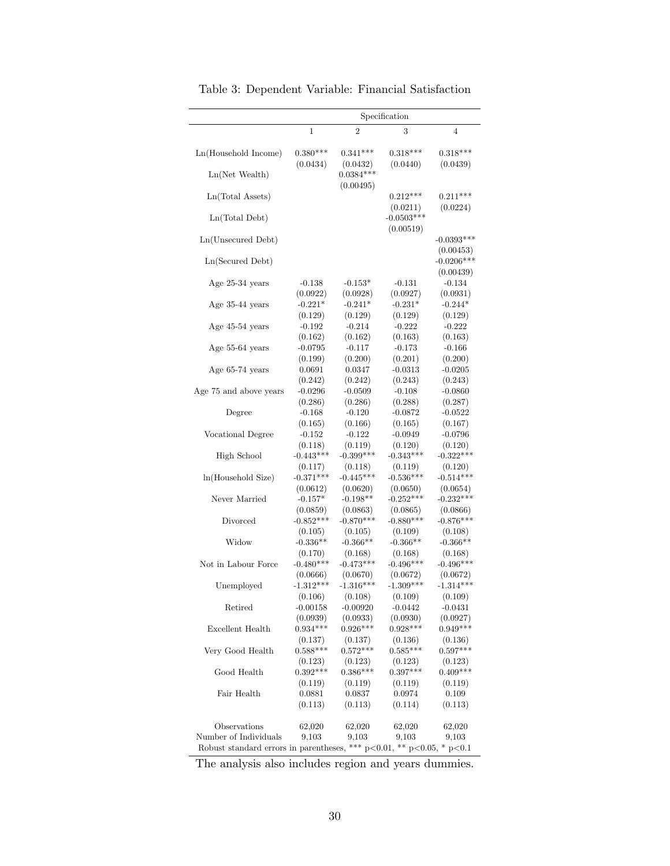|                                                                                                        |             |                         | Specification            |                                        |
|--------------------------------------------------------------------------------------------------------|-------------|-------------------------|--------------------------|----------------------------------------|
|                                                                                                        | 1           | $\overline{2}$          | 3                        | 4                                      |
| Ln(Household Income)                                                                                   | $0.380***$  | $0.341***$              | $0.318***$               | $0.318***$                             |
| $Ln(Net$ Wealth)                                                                                       | (0.0434)    | (0.0432)<br>$0.0384***$ | (0.0440)                 | (0.0439)                               |
| Ln(Total Assets)                                                                                       |             | (0.00495)               | $0.212***$               | $0.211***$                             |
| Ln(Total Debt)                                                                                         |             |                         | (0.0211)<br>$-0.0503***$ | (0.0224)                               |
| Ln(Unsecured Debt)                                                                                     |             |                         | (0.00519)                | $-0.0393***$                           |
| Ln(Secured Debt)                                                                                       |             |                         |                          | (0.00453)<br>$-0.0206***$<br>(0.00439) |
| Age 25-34 years                                                                                        | $-0.138$    | $-0.153*$               | $-0.131$                 | $-0.134$                               |
|                                                                                                        | (0.0922)    | (0.0928)                | (0.0927)                 | (0.0931)                               |
| Age 35-44 years                                                                                        | $-0.221*$   | $-0.241*$               | $-0.231*$                | $-0.244*$                              |
|                                                                                                        | (0.129)     | (0.129)                 | (0.129)                  | (0.129)                                |
| Age 45-54 years                                                                                        | $-0.192$    | $-0.214$                | $-0.222$                 | $-0.222$                               |
|                                                                                                        | (0.162)     | (0.162)                 | (0.163)                  | (0.163)                                |
| Age 55-64 years                                                                                        | $-0.0795$   | $-0.117$                | $-0.173$                 | $-0.166$                               |
|                                                                                                        | (0.199)     | (0.200)                 | (0.201)                  | (0.200)                                |
| Age $65-74$ years                                                                                      | 0.0691      | 0.0347                  | $-0.0313$                | $-0.0205$                              |
|                                                                                                        | (0.242)     | (0.242)                 | (0.243)                  | (0.243)                                |
| Age 75 and above years                                                                                 | $-0.0296$   | $-0.0509$               | $-0.108$                 | $-0.0860$                              |
|                                                                                                        | (0.286)     | (0.286)                 | (0.288)                  | (0.287)                                |
| Degree                                                                                                 | $-0.168$    | $-0.120$                | $-0.0872$                | $-0.0522$                              |
|                                                                                                        | (0.165)     | (0.166)                 | (0.165)                  | (0.167)                                |
| Vocational Degree                                                                                      | $-0.152$    | $-0.122$                | -0.0949                  | $-0.0796$                              |
|                                                                                                        | (0.118)     | (0.119)                 | (0.120)                  | (0.120)                                |
| <b>High School</b>                                                                                     | $-0.443***$ | $-0.399***$             | $-0.343***$              | $-0.322***$                            |
|                                                                                                        | (0.117)     | (0.118)                 | (0.119)                  | (0.120)                                |
| ln(Household Size)                                                                                     | $-0.371***$ | $-0.445***$             | $-0.536***$              | $-0.514***$                            |
|                                                                                                        | (0.0612)    | (0.0620)                | (0.0650)                 | (0.0654)                               |
| Never Married                                                                                          | $-0.157*$   | $-0.198**$              | $-0.252***$              | $-0.232***$                            |
|                                                                                                        | (0.0859)    | (0.0863)                | (0.0865)                 | (0.0866)                               |
| Divorced                                                                                               | $-0.852***$ | $-0.870***$             | $-0.880***$              | $-0.876***$                            |
|                                                                                                        | (0.105)     | (0.105)                 | (0.109)                  | (0.108)                                |
| Widow                                                                                                  | $-0.336**$  | $-0.366**$              | $-0.366**$               | $-0.366**$                             |
|                                                                                                        | (0.170)     | (0.168)                 | (0.168)                  | (0.168)                                |
| Not in Labour Force                                                                                    | $-0.480***$ | $-0.473***$             | $-0.496***$              | $-0.496***$                            |
|                                                                                                        | (0.0666)    | (0.0670)                | (0.0672)                 | (0.0672)                               |
| Unemployed                                                                                             | $-1.312***$ | $-1.316***$             | $-1.309***$              | $-1.314***$                            |
|                                                                                                        | (0.106)     | (0.108)                 | (0.109)                  | (0.109)                                |
| Retired                                                                                                | $-0.00158$  | $-0.00920$              | -0.0442                  | -0.0431                                |
|                                                                                                        | (0.0939)    | (0.0933)                | (0.0930)                 | (0.0927)                               |
| Excellent Health                                                                                       | $0.934***$  | $0.926***$              | $0.928***$               | $0.949***$                             |
|                                                                                                        | (0.137)     | (0.137)                 | (0.136)                  | (0.136)                                |
| Very Good Health                                                                                       | $0.588***$  | $0.572***$              | $0.585***$               | $0.597***$                             |
|                                                                                                        | (0.123)     | (0.123)                 | (0.123)                  | (0.123)                                |
| Good Health                                                                                            | $0.392***$  | $0.386***$              | $0.397***$               | $0.409***$                             |
|                                                                                                        | (0.119)     | (0.119)                 | (0.119)                  | (0.119)                                |
| Fair Health                                                                                            | 0.0881      | 0.0837                  | 0.0974                   | 0.109                                  |
|                                                                                                        | (0.113)     | (0.113)                 | (0.114)                  | (0.113)                                |
| Observations                                                                                           | 62,020      | 62,020                  | 62,020                   | 62,020                                 |
| Number of Individuals<br>Robust standard errors in parentheses, *** $p<0.01$ , ** $p<0.05$ , * $p<0.1$ | 9,103       | 9,103                   | 9.103                    | $9{,}103$                              |

Table 3: Dependent Variable: Financial Satisfaction

The analysis also includes region and years dummies.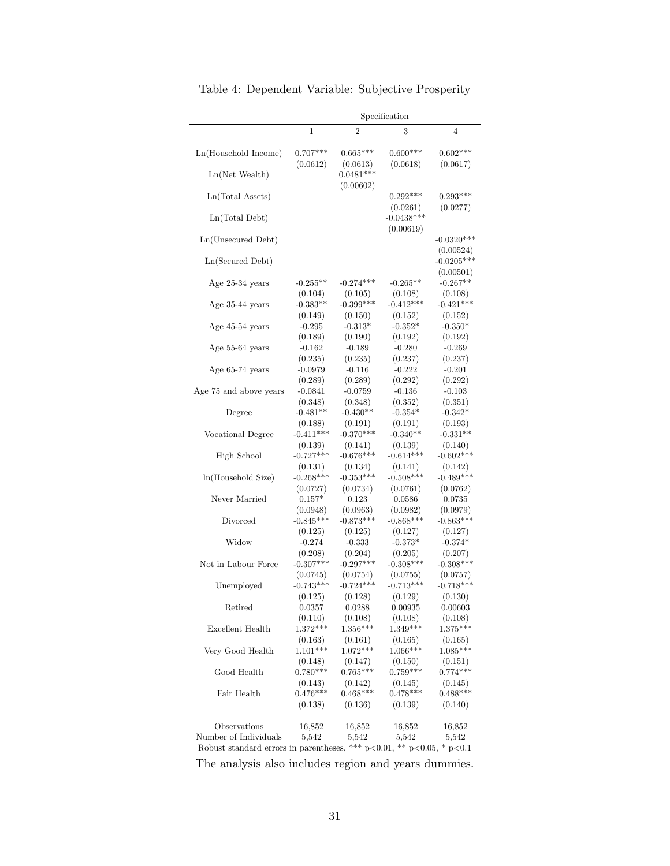|                                                                                                        |                                  |                         | Specification                         |                                 |
|--------------------------------------------------------------------------------------------------------|----------------------------------|-------------------------|---------------------------------------|---------------------------------|
|                                                                                                        | 1                                | $\overline{2}$          | 3                                     | 4                               |
| Ln(Household Income)                                                                                   | $0.707***$<br>(0.0612)           | $0.665***$              | $0.600***$<br>(0.0618)                | $0.602***$<br>(0.0617)          |
| $Ln(Net$ Wealth)                                                                                       |                                  | (0.0613)<br>$0.0481***$ |                                       |                                 |
| Ln(Total Assets)                                                                                       |                                  | (0.00602)               | $0.292***$                            | $0.293***$                      |
| Ln(Total Debt)                                                                                         |                                  |                         | (0.0261)<br>$-0.0438***$<br>(0.00619) | (0.0277)                        |
| Ln(Unsecured Debt)                                                                                     |                                  |                         |                                       | $-0.0320***$<br>(0.00524)       |
| Ln(Secured Debt)                                                                                       |                                  |                         |                                       | $-0.0205***$<br>(0.00501)       |
| Age 25-34 years                                                                                        | $-0.255**$                       | $-0.274***$             | $-0.265**$                            | $-0.267**$                      |
| Age 35-44 years                                                                                        | (0.104)                          | (0.105)                 | (0.108)                               | (0.108)                         |
|                                                                                                        | $-0.383**$                       | $-0.399***$             | $-0.412***$                           | $-0.421***$                     |
|                                                                                                        | (0.149)                          | (0.150)                 | (0.152)                               | (0.152)                         |
| Age 45-54 years                                                                                        | $-0.295$                         | $-0.313*$               | $-0.352*$                             | $-0.350*$                       |
|                                                                                                        | (0.189)                          | (0.190)                 | (0.192)                               | (0.192)                         |
| Age 55-64 years                                                                                        | $-0.162$                         | $-0.189$                | $-0.280$                              | $-0.269$                        |
|                                                                                                        | (0.235)                          | (0.235)                 | (0.237)                               | (0.237)                         |
| Age 65-74 years                                                                                        | $-0.0979$                        | $-0.116$                | $-0.222$                              | $-0.201$                        |
|                                                                                                        | (0.289)                          | (0.289)                 | (0.292)                               | (0.292)                         |
| Age 75 and above years                                                                                 | $-0.0841$                        | $-0.0759$<br>(0.348)    | $-0.136$<br>(0.352)                   | $-0.103$                        |
| Degree                                                                                                 | (0.348)<br>$-0.481**$<br>(0.188) | $-0.430**$<br>(0.191)   | $-0.354*$<br>(0.191)                  | (0.351)<br>$-0.342*$<br>(0.193) |
| Vocational Degree                                                                                      | $-0.411***$                      | $-0.370***$             | $-0.340**$                            | $-0.331**$                      |
| High School                                                                                            | (0.139)                          | (0.141)                 | (0.139)                               | (0.140)                         |
|                                                                                                        | $-0.727***$                      | $-0.676***$             | $-0.614***$                           | $-0.602***$                     |
| ln(Household Size)                                                                                     | (0.131)                          | (0.134)                 | (0.141)                               | (0.142)                         |
|                                                                                                        | $-0.268***$                      | $-0.353***$             | $-0.508***$                           | $-0.489***$                     |
| Never Married                                                                                          | (0.0727)                         | (0.0734)                | (0.0761)                              | (0.0762)                        |
|                                                                                                        | $0.157*$                         | 0.123                   | 0.0586                                | 0.0735                          |
| Divorced                                                                                               | (0.0948)                         | (0.0963)                | (0.0982)                              | (0.0979)                        |
|                                                                                                        | $-0.845***$                      | $-0.873***$             | $-0.868***$                           | $-0.863***$                     |
| Widow                                                                                                  | (0.125)                          | (0.125)                 | (0.127)                               | (0.127)                         |
|                                                                                                        | $-0.274$                         | $-0.333$                | $-0.373*$                             | $-0.374*$                       |
| Not in Labour Force                                                                                    | (0.208)                          | (0.204)                 | (0.205)                               | (0.207)                         |
|                                                                                                        | $-0.307***$                      | $-0.297***$             | $-0.308***$                           | $-0.308***$                     |
| Unemployed                                                                                             | (0.0745)                         | (0.0754)                | (0.0755)                              | (0.0757)                        |
|                                                                                                        | $-0.743***$                      | $-0.724***$             | $-0.713***$                           | $-0.718***$                     |
| Retired                                                                                                | (0.125)                          | (0.128)                 | (0.129)                               | (0.130)                         |
|                                                                                                        | 0.0357                           | 0.0288                  | 0.00935                               | 0.00603                         |
| Excellent Health                                                                                       | (0.110)                          | (0.108)                 | (0.108)                               | (0.108)                         |
|                                                                                                        | $1.372***$                       | $1.356***$              | $1.349***$                            | $1.375***$                      |
| Very Good Health                                                                                       | (0.163)                          | (0.161)                 | (0.165)                               | (0.165)                         |
|                                                                                                        | $1.101***$                       | $1.072***$              | $1.066***$                            | $1.085***$                      |
| Good Health                                                                                            | (0.148)                          | (0.147)                 | (0.150)                               | (0.151)                         |
|                                                                                                        | $0.780***$                       | $0.765***$              | $0.759***$                            | $0.774***$                      |
| Fair Health                                                                                            | (0.143)                          | (0.142)                 | (0.145)                               | (0.145)                         |
|                                                                                                        | $0.476***$                       | $0.468***$              | $0.478***$                            | $0.488***$                      |
|                                                                                                        | (0.138)                          | (0.136)                 | (0.139)                               | (0.140)                         |
| Observations                                                                                           | 16,852                           | 16,852                  | 16,852                                | 16,852                          |
| Number of Individuals<br>Robust standard errors in parentheses, *** $p<0.01$ , ** $p<0.05$ , * $p<0.1$ | 5,542                            | 5,542                   | 5,542                                 | 5,542                           |

Table 4: Dependent Variable: Subjective Prosperity

The analysis also includes region and years dummies.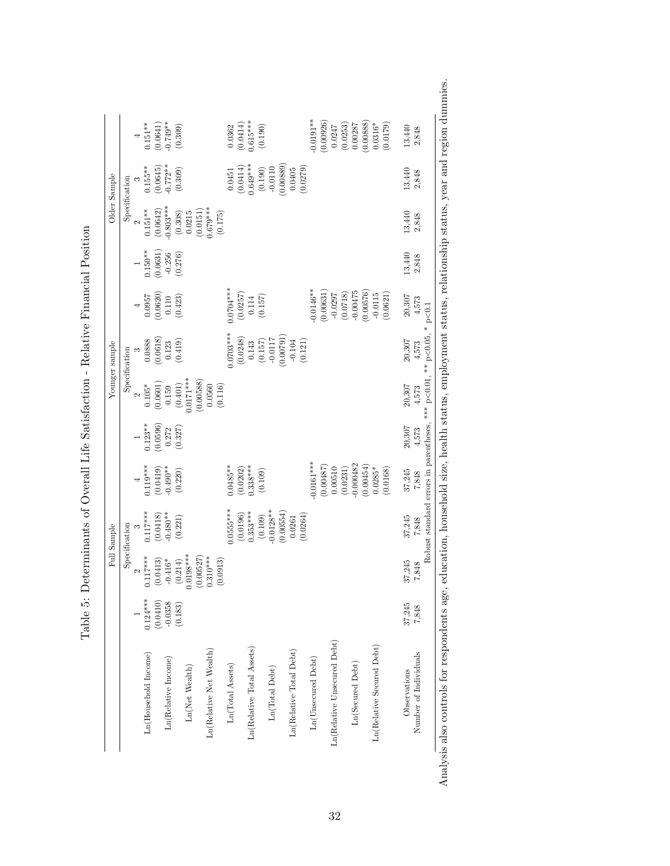|                             |                       |                                       | Full Sample            |                                                                   |                                                             |                                                                          | Younger sample                                                                                                                  |                                                                       |                                                                            |                                                                              | Older Sample                                                                                      |                                                                  |
|-----------------------------|-----------------------|---------------------------------------|------------------------|-------------------------------------------------------------------|-------------------------------------------------------------|--------------------------------------------------------------------------|---------------------------------------------------------------------------------------------------------------------------------|-----------------------------------------------------------------------|----------------------------------------------------------------------------|------------------------------------------------------------------------------|---------------------------------------------------------------------------------------------------|------------------------------------------------------------------|
|                             |                       |                                       | Specification          |                                                                   |                                                             |                                                                          | Specification                                                                                                                   |                                                                       |                                                                            |                                                                              | Specification                                                                                     |                                                                  |
|                             |                       | $\sim$                                |                        |                                                                   |                                                             |                                                                          | $\infty$                                                                                                                        | $\overline{\phantom{a}}$                                              |                                                                            |                                                                              |                                                                                                   |                                                                  |
| Ln(Household Income)        | $0.124***$            | $0.117***$                            | $0.117***$             | $4$<br>0.119***                                                   | $0.123**$                                                   | $0.105*$                                                                 |                                                                                                                                 |                                                                       |                                                                            | $0.151***$                                                                   | $0.155***$                                                                                        | $0.151**$                                                        |
| Ln(Relative Income)         | (0.0410)<br>$-0.0358$ | (0.0413)<br>$-0.416*$                 | $(0.0418)$<br>-0.480** | $\begin{array}{c} (0.0419) \\ -0.490^{**} \\ (0.220) \end{array}$ | $\begin{array}{c} (0.0596) \\ 0.272 \\ (0.327) \end{array}$ | $\begin{array}{c} (0.0601) \\ 0.159 \\ (0.401) \\ 0.0171*** \end{array}$ | $\begin{array}{c} 0.0888 \\ (0.0618) \\ 0.123 \\ (0.419) \end{array}$                                                           | $\begin{array}{c} 0.0957 \\ (0.0620) \\ 0.110 \\ (0.423) \end{array}$ | $\begin{array}{c} 0.150^{**} \\ (0.0631) \\ -0.256 \\ (0.276) \end{array}$ | $\begin{array}{c} (0.0642) \\ -0.803^{***} \\ (0.308) \\ 0.0215 \end{array}$ | $(0.0645)$<br>$-0.772**$                                                                          | $\begin{array}{c} (0.0641) \\ -0.749^{**} \\ (1590) \end{array}$ |
|                             | (0.183)               |                                       | (0.221)                |                                                                   |                                                             |                                                                          |                                                                                                                                 |                                                                       |                                                                            |                                                                              | (0.309)                                                                                           |                                                                  |
| Ln(Net Wealth)              |                       | $(0.214)$<br>$0.0198***$<br>(0.00527) |                        |                                                                   |                                                             | (0.00588)                                                                |                                                                                                                                 |                                                                       |                                                                            |                                                                              |                                                                                                   |                                                                  |
| In(Relative Net Wealth)     |                       | $0.310***$                            |                        |                                                                   |                                                             | (0.116)                                                                  |                                                                                                                                 |                                                                       |                                                                            | $(0.0151)$<br>$0.679***$<br>(0.175)                                          |                                                                                                   |                                                                  |
| Ln(Total Assets)            |                       | (0.0913)                              | $0.0555***$            | $0.0485***$                                                       |                                                             |                                                                          | $0.0703***$                                                                                                                     | $0.0704***$                                                           |                                                                            |                                                                              |                                                                                                   |                                                                  |
|                             |                       |                                       | $(0.0196)$<br>0.353*** | $(0.0202)$<br>0.338***                                            |                                                             |                                                                          |                                                                                                                                 |                                                                       |                                                                            |                                                                              | $\begin{array}{c} 0.0451 \\ (0.0414) \\ 0.649^{***} \\ (0.190) \\ (0.190) \\ -0.0110 \end{array}$ | $\begin{array}{c} 0.0362 \\ (0.0414) \\ 0.615*** \end{array}$    |
| Ln(Relative Total Assets)   |                       |                                       | (0.109)                | (0.109)                                                           |                                                             |                                                                          |                                                                                                                                 | $\begin{array}{c} (0.0257) \\ 0.114 \\ (0.157) \end{array}$           |                                                                            |                                                                              |                                                                                                   | (0.190)                                                          |
| Ln(Total Debt)              |                       |                                       | $0.0128**$             |                                                                   |                                                             |                                                                          |                                                                                                                                 |                                                                       |                                                                            |                                                                              |                                                                                                   |                                                                  |
|                             |                       |                                       | (0.00554)              |                                                                   |                                                             |                                                                          |                                                                                                                                 |                                                                       |                                                                            |                                                                              |                                                                                                   |                                                                  |
| Ln(Relative Total Debt)     |                       |                                       | (0.0264)<br>0.0261     |                                                                   |                                                             |                                                                          | $\begin{array}{c} (0.0248) \\ 0.143 \\ (0.157) \\ 0.0117 \\ -0.0117 \\ (0.00791) \\ (0.00791) \\ -0.104 \\ (0.121) \end{array}$ |                                                                       |                                                                            |                                                                              | $\begin{array}{c} (0.00889) \\ 0.0405 \\ (0.0279) \end{array}$                                    |                                                                  |
| Ln(Unsecured Debt)          |                       |                                       |                        | $-0.0161***$                                                      |                                                             |                                                                          |                                                                                                                                 | $0.0146**$                                                            |                                                                            |                                                                              |                                                                                                   | $0.0191**$                                                       |
|                             |                       |                                       |                        | $(0.00487)$<br>$0.00510$                                          |                                                             |                                                                          |                                                                                                                                 | (0.00631)                                                             |                                                                            |                                                                              |                                                                                                   | (0.00926)                                                        |
| Ln(Relative Unsecured Debt) |                       |                                       |                        | (0.0231)                                                          |                                                             |                                                                          |                                                                                                                                 | $-0.0297$                                                             |                                                                            |                                                                              |                                                                                                   |                                                                  |
| Ln(Secured Debt)            |                       |                                       |                        | $-0.000482$                                                       |                                                             |                                                                          |                                                                                                                                 | $(0.0718)$<br>-0.00475                                                |                                                                            |                                                                              |                                                                                                   | $\begin{array}{c} 0.0247 \\ (0.0253) \\ 0.00287 \end{array}$     |
|                             |                       |                                       |                        | (0.00454)                                                         |                                                             |                                                                          |                                                                                                                                 | (0.00576)                                                             |                                                                            |                                                                              |                                                                                                   | (0.00888)                                                        |
| Ln(Relative Secured Debt)   |                       |                                       |                        | $0.0285*$                                                         |                                                             |                                                                          |                                                                                                                                 | $-0.0115$                                                             |                                                                            |                                                                              |                                                                                                   | $0.0316*$                                                        |
|                             |                       |                                       |                        | (0.0168)                                                          |                                                             |                                                                          |                                                                                                                                 | (0.0621)                                                              |                                                                            |                                                                              |                                                                                                   | (0.1179)                                                         |
| Observations                | 37,245                | 37,245                                | 37,245                 | 37,245                                                            | 20,307                                                      | 20,307                                                                   | $20,307$                                                                                                                        | 20,307                                                                | 13,440                                                                     | 13,440                                                                       | 13,440                                                                                            | 13,440                                                           |
| Number of Individuals       | 7,848                 | 7,848                                 | 7,848                  | 7,848                                                             | 4,573                                                       | 4,573                                                                    | 4,573                                                                                                                           | 4,573                                                                 | 2,848                                                                      | 2,848                                                                        | 2,848                                                                                             | 2,848                                                            |

Table 5: Determinants of Overall Life Satisfaction - Relative Financial Position Table 5: Determinants of Overall Life Satisfaction - Relative Financial Position Analysis also controls for respondents age, education, household size, health status, employment status, relationship status, year and region dummies.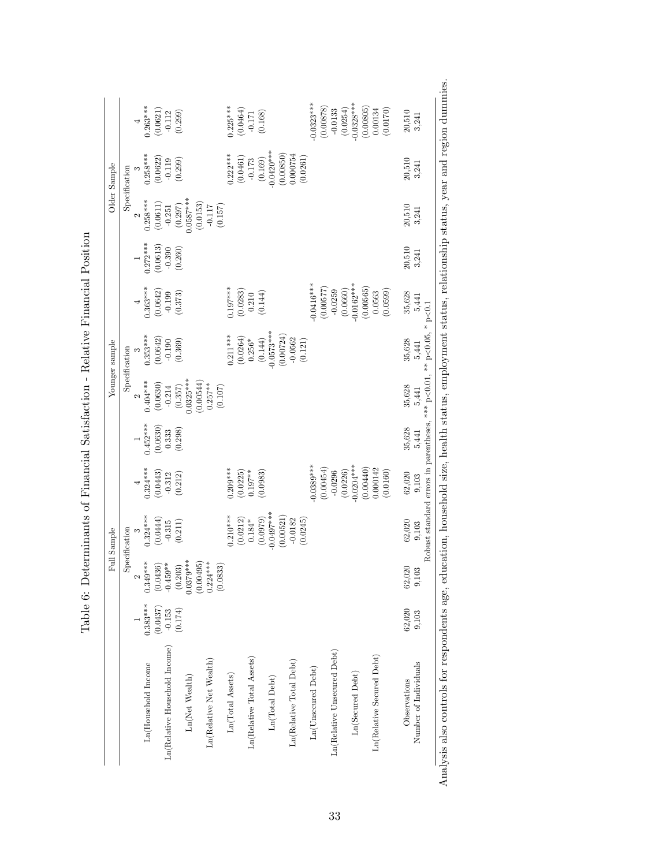|                                                                         |            |                                                                                                                             | Full Sample                                                                         |                         |            |                                      | Younger sample           |                                                                    |                       |                                  | Older Sample              |                                                             |
|-------------------------------------------------------------------------|------------|-----------------------------------------------------------------------------------------------------------------------------|-------------------------------------------------------------------------------------|-------------------------|------------|--------------------------------------|--------------------------|--------------------------------------------------------------------|-----------------------|----------------------------------|---------------------------|-------------------------------------------------------------|
|                                                                         |            |                                                                                                                             | Specification                                                                       |                         |            |                                      | Specification            |                                                                    |                       |                                  | Specification             |                                                             |
|                                                                         |            | 2                                                                                                                           |                                                                                     |                         |            |                                      | $\infty$                 |                                                                    |                       |                                  |                           |                                                             |
| Ln(Household Income                                                     | $0.383***$ | $0.349***$                                                                                                                  | $0.324***$                                                                          | $0.324***$              | $0.452***$ | $0.404***$                           | $0.353***$               | $0.363***$                                                         | $0.272***$            | $0.258***$                       | $0.258***$                | $0.263***$                                                  |
|                                                                         | (0.0437)   |                                                                                                                             | (0.0444)                                                                            | (0.0443)                | (0.0630)   | (0.0630)                             | (0.0642)                 | $\begin{array}{c} (0.0642) \\ -0.199 \\ \hline 0.373) \end{array}$ | (0.0613)              | (0.0611)                         | (0.0622)                  | $\begin{array}{c} (0.0621) \\ -0.112 \\ 0.299) \end{array}$ |
| Ln(Relative Household Income)                                           | $-0.153$   |                                                                                                                             | $-0.315$                                                                            | $-0.312$<br>$(0.212)$   | 0.333      |                                      | $-0.190$                 |                                                                    | $-0.390$<br>$(0.260)$ |                                  | $-0.119$<br>$(0.299)$     |                                                             |
| Ln(Net Wealth)                                                          | (0.174)    | $\begin{array}{c} (0.0436) \\ -0.459^{**} \\ (0.203) \\ 0.0379^{***} \\ (0.00495) \\ (0.00495) \\ (0.00495) \\ \end{array}$ | (0.211)                                                                             |                         | (0.298)    | $-0.214$<br>$(0.357)$<br>$0.0325***$ | (0.369)                  |                                                                    |                       | $-0.251$<br>(0.297)<br>0.0587*** |                           |                                                             |
|                                                                         |            |                                                                                                                             |                                                                                     |                         |            | (0.00544)                            |                          |                                                                    |                       | (0.0153)                         |                           |                                                             |
| Ln(Relative Net Wealth)                                                 |            | (0.0833)                                                                                                                    |                                                                                     |                         |            | $0.257***$<br>(0.107)                |                          |                                                                    |                       | $-0.117$<br>(0.157)              |                           |                                                             |
| Ln(Total Assets)                                                        |            |                                                                                                                             | $0.210***$                                                                          | $0.209***$              |            |                                      | $0.211***$               | $0.197***$                                                         |                       |                                  | $0.222***$                |                                                             |
| Ln(Relative Total Assets)                                               |            |                                                                                                                             | $\left(0.0212\right)$ $0.184*$                                                      | $(0.0225)$<br>$0.197**$ |            |                                      | $(0.0264)$ $0.256^*$     | $\left(0.0283\right)$ $0.210$                                      |                       |                                  | (0.0461)<br>$-0.173$      | $0.225***$<br>(0.0464)<br>(0.171<br>(0.168)                 |
|                                                                         |            |                                                                                                                             | (0.0979)                                                                            | (0.0983)                |            |                                      |                          | (0.144)                                                            |                       |                                  |                           |                                                             |
| $\ensuremath{\text{Ln}}(\ensuremath{\text{Total}}\xspace\ \text{Debt})$ |            |                                                                                                                             | $0.0497***$                                                                         |                         |            |                                      | $(0.144)$<br>$0.0573***$ |                                                                    |                       |                                  | $(0.169)$<br>$-0.0420***$ |                                                             |
|                                                                         |            |                                                                                                                             | (0.00521)                                                                           |                         |            |                                      | (0.00724)                |                                                                    |                       |                                  | $(0.00850)$<br>$0.000754$ |                                                             |
| Ln(Relative Total Debt)                                                 |            |                                                                                                                             | $-0.0182$<br>(0.0245)                                                               |                         |            |                                      | $-0.0562$<br>(0.121)     |                                                                    |                       |                                  | (0.0261)                  |                                                             |
| Ln(Unsecured Debt)                                                      |            |                                                                                                                             |                                                                                     | $-0.0389***$            |            |                                      |                          | $0.0416***$                                                        |                       |                                  |                           | $-0.0323***$                                                |
|                                                                         |            |                                                                                                                             |                                                                                     | (0.00454)               |            |                                      |                          | (0.00577)                                                          |                       |                                  |                           | (0.00878)                                                   |
| In(Relative Unsecured Debt)                                             |            |                                                                                                                             |                                                                                     | (0.0226)<br>$-0.0296$   |            |                                      |                          | (0.0660)<br>$-0.0259$                                              |                       |                                  |                           | (0.0254)<br>$-0.0133$                                       |
| Ln(Secured Debt)                                                        |            |                                                                                                                             |                                                                                     | $-0.0204***$            |            |                                      |                          | $0.0162***$                                                        |                       |                                  |                           | $-0.0328***$                                                |
|                                                                         |            |                                                                                                                             |                                                                                     | (0.00440)               |            |                                      |                          | (0.00565)                                                          |                       |                                  |                           | (0.00805)                                                   |
| Ln(Relative Secured Debt)                                               |            |                                                                                                                             |                                                                                     | 0.000142<br>(0.0160)    |            |                                      |                          | (0.0599)<br>0.0563                                                 |                       |                                  |                           | 0.00134<br>(0.0170)                                         |
| Observations                                                            | 62,020     | 62,020                                                                                                                      | 62,020                                                                              | 62,020                  | 35,628     | 35,628                               | 35,628                   |                                                                    | 20,510                | 20,510                           | 20,510                    | 20,510                                                      |
| Number of Individuals                                                   | 9,103      | 9,103                                                                                                                       | 9,103                                                                               | 9,103                   | 5,441      | 5,441                                | 5,441                    | $35,628$<br>$5,441$                                                | 3,241                 | 3,241                            | 3,241                     | 3,241                                                       |
|                                                                         |            |                                                                                                                             | Robust standard errors in parentheses, *** $p < 0.01$ , ** $p < 0.05$ , * $p < 0.1$ |                         |            |                                      |                          |                                                                    |                       |                                  |                           |                                                             |

Table 6: Determinants of Financial Satisfaction - Relative Financial Position Table 6: Determinants of Financial Satisfaction - Relative Financial Position

33

Analysis also controls for respondents age, education, household size, health status, employment status, relationship status, year and region dummies.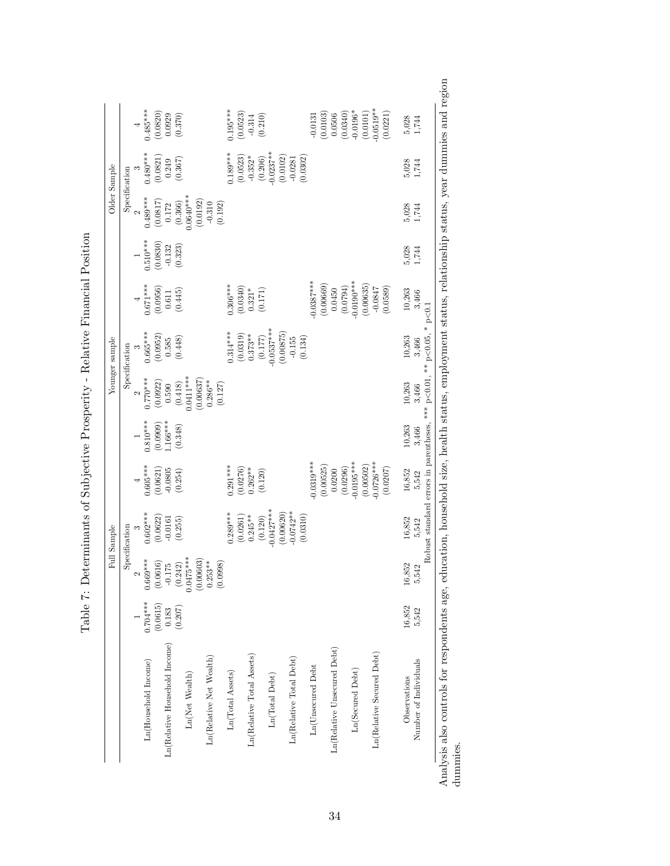|                                       |                         |                        | Full Sample                                                                         |                         |                        |                                                             | Younger sample                                              |                                                             |                                                             |                                                             | Older Sample                                                |                                |
|---------------------------------------|-------------------------|------------------------|-------------------------------------------------------------------------------------|-------------------------|------------------------|-------------------------------------------------------------|-------------------------------------------------------------|-------------------------------------------------------------|-------------------------------------------------------------|-------------------------------------------------------------|-------------------------------------------------------------|--------------------------------|
|                                       |                         |                        | Specification                                                                       |                         |                        |                                                             | Specification                                               |                                                             |                                                             | Specification                                               |                                                             |                                |
|                                       |                         | 2                      |                                                                                     |                         |                        |                                                             |                                                             |                                                             |                                                             | $\sim$                                                      |                                                             |                                |
| Ln(Household Income)                  | $0.704***$              | $.669***$              | $0.602***$                                                                          | $0.605***$              | $0.810***$             | $0.770***$                                                  | $0.665***$                                                  | $0.671***$                                                  | $0.510***$                                                  | $0.489***$                                                  | $0.480***$                                                  | $0.485***$                     |
|                                       | (0.0615)                | (0.0616)               | $(0.0622)$<br>-0.0161                                                               | $(0.0621)$<br>-0.0805   | $(0.0909)$<br>1.166*** | $\begin{array}{c} (0.0922) \\ 0.590 \\ (0.418) \end{array}$ | $\begin{array}{c} (0.0952) \\ 0.585 \\ (0.448) \end{array}$ | $\begin{array}{c} (0.0956) \\ 0.611 \\ (0.445) \end{array}$ | $\begin{array}{c} (0.0830) \\ -0.132 \\ 0.323) \end{array}$ | $\begin{array}{c} (0.0817) \\ 0.172 \\ (0.366) \end{array}$ | $\begin{array}{c} (0.0821) \\ 0.249 \\ (0.367) \end{array}$ | $(0.0820)$<br>0.0929<br>0.370) |
| Ln(Relative Household Income)         | $\frac{0.183}{(0.207)}$ | $-0.175$               |                                                                                     |                         |                        |                                                             |                                                             |                                                             |                                                             |                                                             |                                                             |                                |
|                                       |                         | $0.0475***$<br>(0.242) | (0.255)                                                                             | (0.254)                 | (0.348)                | $0.0411***$                                                 |                                                             |                                                             |                                                             | $0.0640***$                                                 |                                                             |                                |
| Ln(Net Wealth)                        |                         | 0.0603<br>$\circ$      |                                                                                     |                         |                        |                                                             |                                                             |                                                             |                                                             | (0.0192)                                                    |                                                             |                                |
| In(Relative Net Wealth)               |                         | $0.253**$<br>0.0998)   |                                                                                     |                         |                        | $(0.00637)$ $0.286**$<br>(0.127)                            |                                                             |                                                             |                                                             | $\begin{bmatrix} -0.310 \\ 0.192 \end{bmatrix}$             |                                                             |                                |
| Ln(Total Assets)                      |                         |                        | $0.289***$                                                                          | $0.291***$              |                        |                                                             | $0.314***$                                                  | $0.306***$                                                  |                                                             |                                                             | $0.189***$                                                  | $0.195***$                     |
|                                       |                         |                        | (0.0261)                                                                            | $(0.0276)$<br>0.262**   |                        |                                                             | $(0.0319) \\ 0.373**$                                       | $(0.0340) \\ 0.321^{*}$                                     |                                                             |                                                             | $(0.0523)$ -0.352*                                          | $(0.0523)$ -0.314 $\,$         |
| Ln(Relative Total Assets)             |                         |                        | $0.245**$                                                                           |                         |                        |                                                             |                                                             |                                                             |                                                             |                                                             |                                                             |                                |
| $\text{Ln}(\text{Total}\:\text{Det})$ |                         |                        | $0.0427***$<br>(0.120)                                                              | (0.120)                 |                        |                                                             | $(0.177)$<br>0.0537***                                      | (0.171)                                                     |                                                             |                                                             | $(0.206)$<br>$-0.0237**$                                    | (0.210)                        |
|                                       |                         |                        | (0.00620)                                                                           |                         |                        |                                                             | (0.00875)                                                   |                                                             |                                                             |                                                             | (0.0102)                                                    |                                |
| Ln(Relative Total Debt)               |                         |                        | $-0.0742**$<br>(0.0310)                                                             |                         |                        |                                                             | $-0.155$<br>(0.134)                                         |                                                             |                                                             |                                                             | (0.0302)<br>$-0.0281$                                       |                                |
| Ln(Unsecured Debt                     |                         |                        |                                                                                     | $-0.0319***$            |                        |                                                             |                                                             | $0.0387***$                                                 |                                                             |                                                             |                                                             | $-0.0131$                      |
|                                       |                         |                        |                                                                                     | (0.00525)               |                        |                                                             |                                                             | (0.00669)                                                   |                                                             |                                                             |                                                             | (0.0103)                       |
| Ln(Relative Unsecured Debt)           |                         |                        |                                                                                     | (0.0296)<br>0.0200      |                        |                                                             |                                                             | (0.0794)<br>0.0450                                          |                                                             |                                                             |                                                             | 0.0506                         |
| Ln(Secured Debt)                      |                         |                        |                                                                                     | $-0.0195***$            |                        |                                                             |                                                             | $0.0190***$                                                 |                                                             |                                                             |                                                             | $(0.0340)$<br>-0.0196*         |
|                                       |                         |                        |                                                                                     | (0.00502)               |                        |                                                             |                                                             | (0.00635)                                                   |                                                             |                                                             |                                                             | (0.0101)                       |
| Ln(Relative Secured Debt)             |                         |                        |                                                                                     | $0.0726***$<br>(0.0207) |                        |                                                             |                                                             | (0.0589)<br>$-0.0847$                                       |                                                             |                                                             |                                                             | $0.0519**$<br>(0.0221)         |
|                                       |                         |                        |                                                                                     |                         |                        |                                                             |                                                             |                                                             |                                                             |                                                             |                                                             |                                |
| Observations                          | 16,852                  | 16,852                 | 16,852                                                                              | 16,852                  | 10,263                 | 10,263                                                      | 10,263                                                      | 10,263                                                      | 5,028                                                       | 5,028                                                       | 5,028<br>1,744                                              | 5,028                          |
| Number of Individuals                 | 5,542                   | 5,542                  | 5,542                                                                               | 5,542                   | 3,466                  | 3,466                                                       | 3,466                                                       | 3,466                                                       | 1,744                                                       | 1,744                                                       |                                                             | 1,744                          |
|                                       |                         |                        | Robust standard errors in parentheses, *** $p < 0.01$ , ** $p < 0.05$ , * $p < 0.1$ |                         |                        |                                                             |                                                             |                                                             |                                                             |                                                             |                                                             |                                |

Table 7: Determinants of Subjective Prosperity - Relative Financial Position Table 7: Determinants of Subjective Prosperity - Relative Financial Position

34

Analysis also controls for respondents age, education, household size, health status, employment status, relationship status, year dummies and region Analysis also controls for respondents age, education, household size, health status, employment status, relationship status, year dummies and region dummies.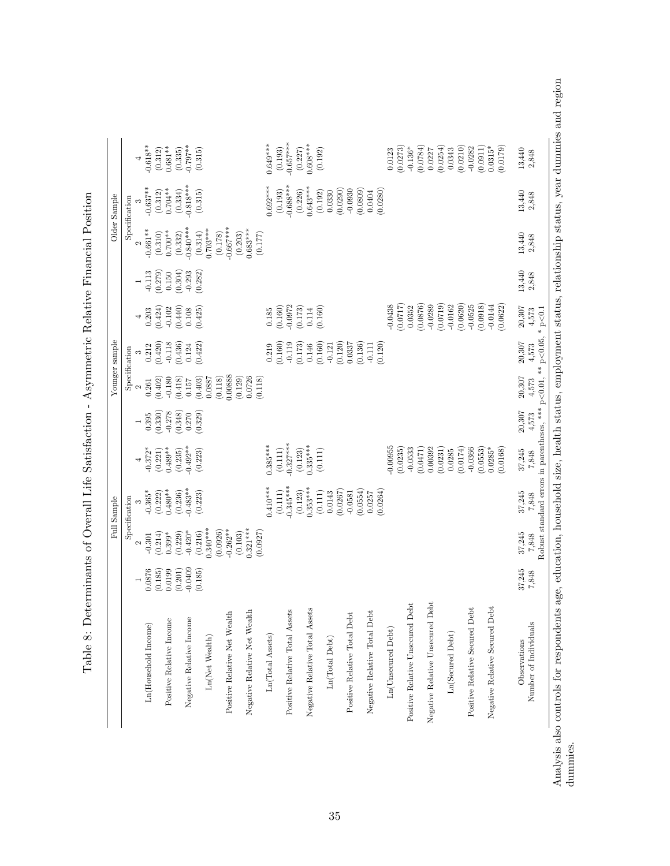|                                       |                      |                        | Full Sample             |                        |                     |                      | Younger sample      |                        |                     |                                  | Older Sample           |                       |
|---------------------------------------|----------------------|------------------------|-------------------------|------------------------|---------------------|----------------------|---------------------|------------------------|---------------------|----------------------------------|------------------------|-----------------------|
|                                       |                      |                        | Specification           |                        |                     |                      | Specification       |                        |                     |                                  | Specification          |                       |
|                                       |                      | $\mathbf{\Omega}$      |                         | $\overline{a}$         |                     | $\mathbf{\sim}$      |                     | 4                      |                     | $\mathbf{\Omega}$                |                        | 4                     |
| Ln(Household Income)                  | 0.0876               | $-0.301$               | $-0.365^*$              | $-0.372*$              | 0.395               | $\rm 0.261$          | 0.212               | 0.203                  | $-0.113$            | $-0.661**$                       | $-0.637**$             | $-0.618**$            |
|                                       | (0.185)<br>0.0199    | (0.214)<br>$0.399*$    | $0.480**$<br>(0.222)    | $0.489**$<br>(0.221)   | (0.330)<br>$-0.278$ | (0.402)              | (0.420)<br>$-0.118$ | (0.424)<br>$-0.102$    | (0.279)<br>0.150    | $0.700**$<br>(0.310)             | $0.704**$<br>(0.312)   | $0.681**$<br>(0.312)  |
| Positive Relative Income              | (0.201)              | (0.229)                | (0.236)                 | (0.235)                | (0.348)             | (0.418)<br>$-0.180$  | (0.436)             | (0.440)                | (0.304)             | (0.332)                          | (0.334)                | (0.335)               |
| Negative Relative Income              | $-0.0409$<br>(0.185) | $-0.420*$<br>(0.216)   | $-0.483**$              | $-0.492**$             | (0.329)<br>0.270    | (0.403)<br>$0.157\,$ | 0.124               | (0.425)<br>$0.108\,$   | $-0.293$<br>(0.282) | $-0.840***$                      | $-0.818***$            | $-0.797**$            |
| $\text{Ln}(\text{Net}~\text{Wealth})$ |                      | $0.340***$<br>(0.0926) | (0.223)                 | (0.223)                |                     | (0.118)<br>0.0887    | (0.422)             |                        |                     | $0.703***$<br>(0.314)<br>(0.178) | (0.315)                | (0.315)               |
| Positive Relative Net Wealth          |                      | $-0.262**$<br>(0.103)  |                         |                        |                     | 0.00888<br>(0.129)   |                     |                        |                     | $-0.667***$<br>(0.203)           |                        |                       |
| Negative Relative Net Wealth          |                      | $0.321***$<br>(0.0927) |                         |                        |                     | 0.0726<br>(0.118)    |                     |                        |                     | $0.683***$<br>(0.177)            |                        |                       |
| Ln(Total Assets)                      |                      |                        | $0.410***$              | $0.385***$             |                     |                      | 0.219               | 0.185                  |                     |                                  | $0.692***$             | $0.649***$            |
| Positive Relative Total Assets        |                      |                        | $-0.345***$<br>(0.111)  | $-0.327***$<br>(0.111) |                     |                      | (0.160)<br>$-0.119$ | $(0.160)$<br>$-0.0972$ |                     |                                  | $-0.688***$<br>(0.193) | $0.657***$<br>(0.193) |
| Negative Relative Total Assets        |                      |                        | $0.353***$<br>(0.123)   | $0.335***$<br>(0.123)  |                     |                      | (0.173)<br>0.146    | (0.173)<br>0.114       |                     |                                  | $0.643***$<br>(0.226)  | $0.608***$<br>(0.227) |
| Ln(Total Debt)                        |                      |                        | (0.111)<br>$\,0.0143\,$ | (0.111)                |                     |                      | (0.160)<br>$-0.121$ | (0.160)                |                     |                                  | 0.0330<br>(0.192)      | (0.192)               |
| Positive Relative Total Debt          |                      |                        | (0.0267)<br>$-0.0581$   |                        |                     |                      | (0.120)<br>0.0337   |                        |                     |                                  | (0.0290)<br>$-0.0930$  |                       |
| Negative Relative Total Debt          |                      |                        | (0.0554)<br>0.0257      |                        |                     |                      | (0.136)<br>$-0.111$ |                        |                     |                                  | (0.0809)<br>0.0404     |                       |
|                                       |                      |                        | 0.0264                  |                        |                     |                      | (0.120)             |                        |                     |                                  | (0.0280)               |                       |
| Ln(Unsecured Debt)                    |                      |                        |                         | $-0.00955$<br>(0.0235) |                     |                      |                     | 0.0438<br>(0.0717)     |                     |                                  |                        | (0.0273)<br>0.0123    |
| Positive Relative Unsecured Debt      |                      |                        |                         | $-0.0533$              |                     |                      |                     | 0.0352                 |                     |                                  |                        | $-0.136*$             |
| Negative Relative Unsecured Debt      |                      |                        |                         | (0.0471)<br>0.00392    |                     |                      |                     | (0.0876)<br>$-0.0289$  |                     |                                  |                        | (0.0784)<br>0.0227    |
|                                       |                      |                        |                         | (0.0231)               |                     |                      |                     | (0.0719)               |                     |                                  |                        | (0.0254)              |
| Ln(Secured Debt)                      |                      |                        |                         | (0.0174)<br>0.0285     |                     |                      |                     | (0.0620)<br>$-0.0162$  |                     |                                  |                        | (0.0210)<br>0.0343    |
| Positive Relative Secured Debt        |                      |                        |                         | (0.0553)<br>$-0.0366$  |                     |                      |                     | (0.0918)<br>$-0.0525$  |                     |                                  |                        | $-0.0282$<br>(0.0911) |
| Negative Relative Secured Debt        |                      |                        |                         | 0.0168)<br>$0.0285*$   |                     |                      |                     | (0.0622)<br>$-0.0144$  |                     |                                  |                        | $0.0315*$<br>(0.0179) |
| Observations                          | 37,245               | 37,245                 | 37,245                  | 37,245                 | 20,307              | 20,307               | 20,307              | $20,307$               | 13,440              | 13,440                           | $13,\!440$             | 13,440                |
| Number of Individuals                 | 7,848                | 7,848                  | 7,848                   | 7,848                  | 4,573               | 4,573                | 4,573               | 4,573                  | 2,848               | 2,848                            | 2,848                  | 2,848                 |

Table 8: Determinants of Overall Life Satisfaction - Asymmetric Relative Financial Position Table 8: Determinants of Overall Life Satisfaction - Asymmetric Relative Financial Position Analysis also controls for respondents age, education, household size, health status, employment status, relationship status, year dummies and region dummies.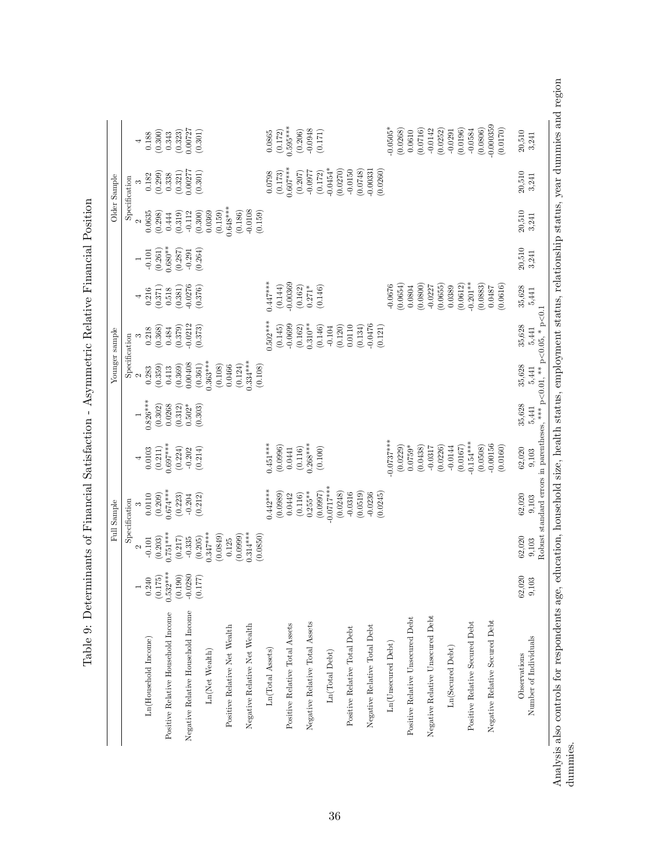|                                    |                       |                        | Full Sample              |                                     |                                                                                        |                       | Younger sample          |                                                           |                       |                       | Older Sample           |                                               |
|------------------------------------|-----------------------|------------------------|--------------------------|-------------------------------------|----------------------------------------------------------------------------------------|-----------------------|-------------------------|-----------------------------------------------------------|-----------------------|-----------------------|------------------------|-----------------------------------------------|
|                                    |                       |                        | Specification            |                                     |                                                                                        | Specification         |                         |                                                           |                       |                       | Specification          |                                               |
|                                    |                       | $\mathbf{\Omega}$      |                          |                                     |                                                                                        | $\mathbf{\Omega}$     | S                       | $\overline{a}$                                            |                       | $\sim$                |                        |                                               |
| Ln(Household Income)               | 0.240                 | $-0.101$               | 0.0110                   | (0.0103)                            | $0.826***$                                                                             | 0.283                 | $\frac{0.218}{(0.368)}$ |                                                           | $-0.101$<br>$(0.261)$ | 0.0635                | $(0.182)$<br>$(0.299)$ | $\begin{array}{c} 0.188 \\ 0.300 \end{array}$ |
|                                    | (0.175)               | (0.203)                | (0.209)                  |                                     | (0.302)                                                                                | (0.359)               |                         | $\begin{array}{c} 0.216 \\ 0.371 \end{array}$<br>$(0.518$ |                       | (0.298)               |                        |                                               |
| Positive Relative Household Income | $0.532***$<br>(0.190) | $0.751***$             | $0.674***$<br>(0.223)    | $0.697***$<br>$\left( 0.224\right)$ | 0.0268                                                                                 | (0.369)<br>0.413      | 0.484                   |                                                           | $0.680**$<br>(0.287)  | (0.319)<br>0.444      | (0.321)<br>0.338       | 0.343                                         |
| Negative Relative Household Income | $-0.0280$             | $(0.217)$<br>$-0.335$  | $-0.204$                 | $-0.202$                            | $(0.312)$<br>0.502*                                                                    | 0.00408               | $(0.379)$<br>$-0.0212$  | $(0.381)$<br>$-0.0276$                                    | $-0.291$              | $-0.112$              | 0.00277                | $(0.323)$<br>$0.00727$                        |
| Ln(Net Wealth)                     | (0.177)               | $0.347***$<br>(0.205)  | (0.212)                  | (0.214)                             | (0.303)                                                                                | $0.363***$<br>(0.361) | (0.373)                 | (0.376)                                                   | (0.264)               | 0.0369<br>(0.300)     | (0.301)                | (0.301)                                       |
|                                    |                       | (0.0849)               |                          |                                     |                                                                                        | (0.108)               |                         |                                                           |                       | (0.159)               |                        |                                               |
| Positive Relative Net Wealth       |                       | (0.0999)<br>0.125      |                          |                                     |                                                                                        | (0.124)<br>0.0466     |                         |                                                           |                       | $0.648***$<br>(0.186) |                        |                                               |
| Negative Relative Net Wealth       |                       | $0.314***$<br>(0.0850) |                          |                                     |                                                                                        | $0.334***$<br>(0.108) |                         |                                                           |                       | $-0.0108$<br>(0.159)  |                        |                                               |
| Ln(Total Assets)                   |                       |                        | $0.442***$               | $0.451***$                          |                                                                                        |                       | $0.502***$              | $0.447***$                                                |                       |                       | $(0.0798$<br>(0.173)   | 0.0865                                        |
| Positive Relative Total Assets     |                       |                        | (0.0989)<br>0.0442       | (0.0996)<br>0.0441                  |                                                                                        |                       | $-0.0699$<br>(0.145)    | $-0.00369$<br>(0.144)                                     |                       |                       | $0.607***$             | $0.595***$<br>(0.172)                         |
| Negative Relative Total Assets     |                       |                        | $0.255**$<br>(0.116)     | $0.268***$<br>(0.116)               |                                                                                        |                       | $0.310**$<br>(0.162)    | (0.162)<br>$0.271*$                                       |                       |                       | $(0.207)$<br>$-0.0977$ | $-0.0948$<br>(0.206)                          |
| Ln(Total Debt)                     |                       |                        | $-0.0717***$<br>(0.0997) | (0.100)                             |                                                                                        |                       | (0.146)<br>$-0.104$     | (0.146)                                                   |                       |                       | $0.0454*$<br>(0.172)   | (0.171)                                       |
| Positive Relative Total Debt       |                       |                        | (0.0248)<br>$-0.0316$    |                                     |                                                                                        |                       | (0.120)<br>0.0110       |                                                           |                       |                       | (0.0270)<br>$-0.0150$  |                                               |
| Negative Relative Total Debt       |                       |                        | (0.0519)<br>$-0.0236$    |                                     |                                                                                        |                       | $-0.0476$<br>(0.134)    |                                                           |                       |                       | (0.0748)<br>$-0.00331$ |                                               |
| Ln(Unsecured Debt)                 |                       |                        | (0.0245)                 | $0.0737***$<br>(0.0229)             |                                                                                        |                       | (0.121)                 | (0.0654)<br>$-0.0676$                                     |                       |                       | (0.0260)               | $0.0505*$<br>(0.0268)                         |
| Positive Relative Unsecured Debt   |                       |                        |                          | $0.0759*$                           |                                                                                        |                       |                         | 0.0804                                                    |                       |                       |                        | 0.0610                                        |
| Negative Relative Unsecured Debt   |                       |                        |                          | (0.0438)<br>$-0.0317$               |                                                                                        |                       |                         | (0.0800)<br>$-0.0227$                                     |                       |                       |                        | (0.0716)<br>$-0.0142$                         |
| Ln(Secured Debt)                   |                       |                        |                          | (0.0226)<br>$-0.0144$               |                                                                                        |                       |                         | (0.0655)<br>0.0389                                        |                       |                       |                        | (0.0252)<br>$-0.0291$                         |
| Positive Relative Secured Debt     |                       |                        |                          | $0.154***$<br>(0.0167)              |                                                                                        |                       |                         | $-0.201**$<br>(0.0612)                                    |                       |                       |                        | (0.0196)<br>$-0.0584$                         |
| Negative Relative Secured Debt     |                       |                        |                          | $-0.00156$<br>(0.0508)<br>(0.0160)  |                                                                                        |                       |                         | (0.0883)<br>(0.0616)<br>0.0487                            |                       |                       |                        | 0.000359<br>(0.0806)<br>(0.0170)              |
| Observations                       | 62,020                | 62,020                 | 62,020                   | 62,020                              | 35,628                                                                                 | 35,628                | 35,628                  | 35,628                                                    | 20,510                | 20,510                | 20,510                 | 20,510                                        |
| Number of Individuals              | 9,103                 | 9,103                  | 9,103                    | 9,103                               | Robust standard errors in parentheses, *** $p<0.01$ , ** $p<0.05$ , * $p<0.1$<br>5,441 | 5,441                 | 5,441                   | 5,441                                                     | 3,241                 | 3,241                 | 3,241                  | 3,241                                         |

Table 9: Determinants of Financial Satisfaction - Asymmetric Relative Financial Position Table 9: Determinants of Financial Satisfaction - Asymmetric Relative Financial Position Analysis also controls for respondents age, education, household size, health status, employment status, relationship status, year dummies and region dummies.